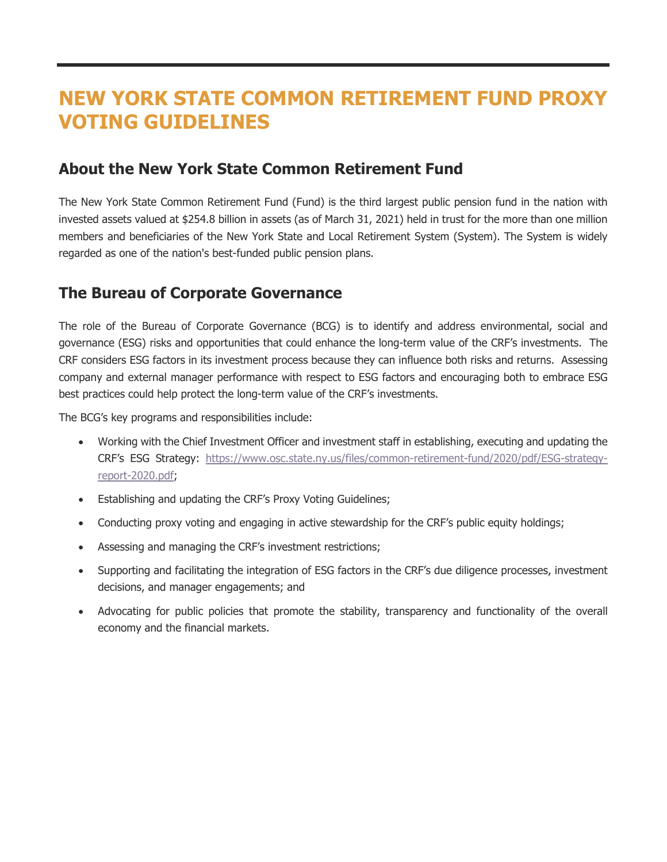# **NEW YORK STATE COMMON RETIREMENT FUND PROXY VOTING GUIDELINES**

# **About the New York State Common Retirement Fund**

The New York State Common Retirement Fund (Fund) is the third largest public pension fund in the nation with invested assets valued at \$254.8 billion in assets (as of March 31, 2021) held in trust for the more than one million members and beneficiaries of the New York State and Local Retirement System (System). The System is widely regarded as one of the nation's best-funded public pension plans.

# **The Bureau of Corporate Governance**

The role of the Bureau of Corporate Governance (BCG) is to identify and address environmental, social and governance (ESG) risks and opportunities that could enhance the long-term value of the CRF's investments. The CRF considers ESG factors in its investment process because they can influence both risks and returns. Assessing company and external manager performance with respect to ESG factors and encouraging both to embrace ESG best practices could help protect the long-term value of the CRF's investments.

The BCG's key programs and responsibilities include:

- Working with the Chief Investment Officer and investment staff in establishing, executing and updating the CRF's ESG Strategy: [https://www.osc.state.ny.us/files/common-retirement-fund/2020/pdf/ESG-strategy](https://www.osc.state.ny.us/files/common-retirement-fund/2020/pdf/ESG-strategy-report-2020.pdf)[report-2020.pdf;](https://www.osc.state.ny.us/files/common-retirement-fund/2020/pdf/ESG-strategy-report-2020.pdf)
- Establishing and updating the CRF's Proxy Voting Guidelines;
- Conducting proxy voting and engaging in active stewardship for the CRF's public equity holdings;
- Assessing and managing the CRF's investment restrictions;
- Supporting and facilitating the integration of ESG factors in the CRF's due diligence processes, investment decisions, and manager engagements; and
- Advocating for public policies that promote the stability, transparency and functionality of the overall economy and the financial markets.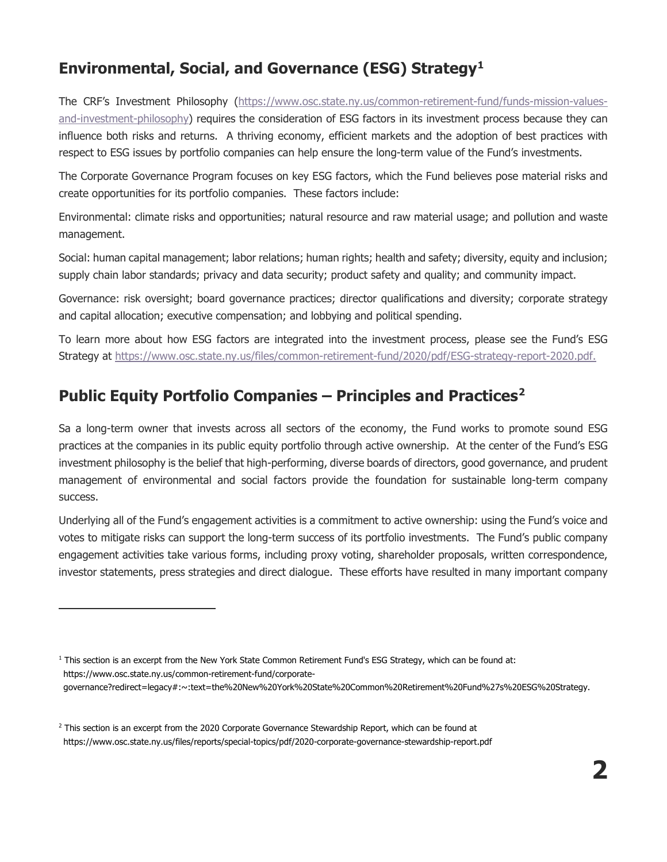# **Environmental, Social, and Governance (ESG) Strategy[1](#page-1-0)**

The CRF's Investment Philosophy [\(https://www.osc.state.ny.us/common-retirement-fund/funds-mission-values](https://www.osc.state.ny.us/common-retirement-fund/funds-mission-values-and-investment-philosophy)[and-investment-philosophy\)](https://www.osc.state.ny.us/common-retirement-fund/funds-mission-values-and-investment-philosophy) requires the consideration of ESG factors in its investment process because they can influence both risks and returns. A thriving economy, efficient markets and the adoption of best practices with respect to ESG issues by portfolio companies can help ensure the long-term value of the Fund's investments.

The Corporate Governance Program focuses on key ESG factors, which the Fund believes pose material risks and create opportunities for its portfolio companies. These factors include:

Environmental: climate risks and opportunities; natural resource and raw material usage; and pollution and waste management.

Social: human capital management; labor relations; human rights; health and safety; diversity, equity and inclusion; supply chain labor standards; privacy and data security; product safety and quality; and community impact.

Governance: risk oversight; board governance practices; director qualifications and diversity; corporate strategy and capital allocation; executive compensation; and lobbying and political spending.

To learn more about how ESG factors are integrated into the investment process, please see the Fund's ESG Strategy at<https://www.osc.state.ny.us/files/common-retirement-fund/2020/pdf/ESG-strategy-report-2020.pdf.>

# **Public Equity Portfolio Companies – Principles and Practices[2](#page-1-1)**

Sa a long-term owner that invests across all sectors of the economy, the Fund works to promote sound ESG practices at the companies in its public equity portfolio through active ownership. At the center of the Fund's ESG investment philosophy is the belief that high-performing, diverse boards of directors, good governance, and prudent management of environmental and social factors provide the foundation for sustainable long-term company success.

Underlying all of the Fund's engagement activities is a commitment to active ownership: using the Fund's voice and votes to mitigate risks can support the long-term success of its portfolio investments. The Fund's public company engagement activities take various forms, including proxy voting, shareholder proposals, written correspondence, investor statements, press strategies and direct dialogue. These efforts have resulted in many important company

<span id="page-1-0"></span> $1$  This section is an excerpt from the New York State Common Retirement Fund's ESG Strategy, which can be found at: https://www.osc.state.ny.us/common-retirement-fund/corporategovernance?redirect=legacy#:~:text=the%20New%20York%20State%20Common%20Retirement%20Fund%27s%20ESG%20Strategy.

<span id="page-1-1"></span><sup>&</sup>lt;sup>2</sup> This section is an excerpt from the 2020 Corporate Governance Stewardship Report, which can be found at https://www.osc.state.ny.us/files/reports/special-topics/pdf/2020-corporate-governance-stewardship-report.pdf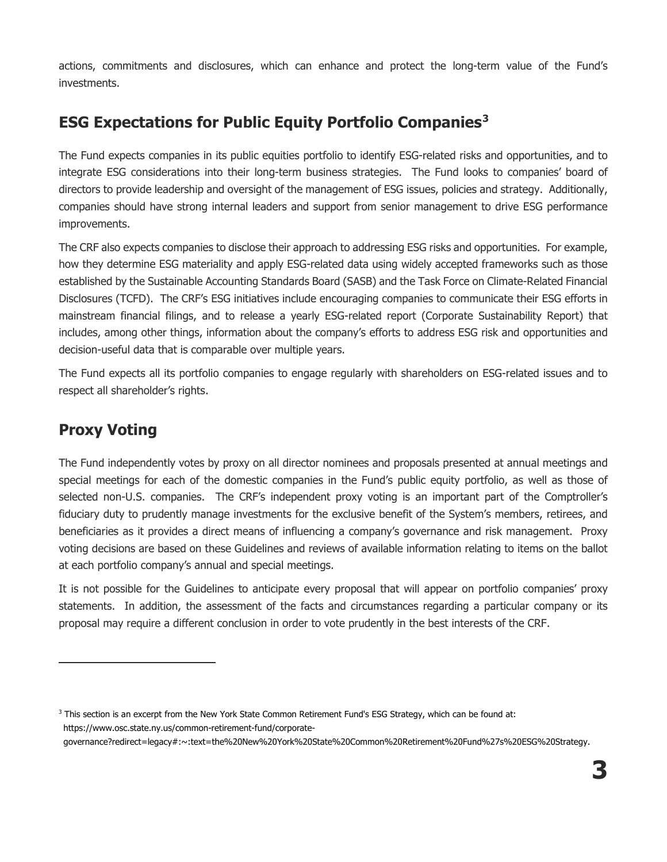actions, commitments and disclosures, which can enhance and protect the long-term value of the Fund's investments.

# **ESG Expectations for Public Equity Portfolio Companies[3](#page-2-0)**

The Fund expects companies in its public equities portfolio to identify ESG-related risks and opportunities, and to integrate ESG considerations into their long-term business strategies. The Fund looks to companies' board of directors to provide leadership and oversight of the management of ESG issues, policies and strategy. Additionally, companies should have strong internal leaders and support from senior management to drive ESG performance improvements.

The CRF also expects companies to disclose their approach to addressing ESG risks and opportunities. For example, how they determine ESG materiality and apply ESG-related data using widely accepted frameworks such as those established by the Sustainable Accounting Standards Board (SASB) and the Task Force on Climate-Related Financial Disclosures (TCFD). The CRF's ESG initiatives include encouraging companies to communicate their ESG efforts in mainstream financial filings, and to release a yearly ESG-related report (Corporate Sustainability Report) that includes, among other things, information about the company's efforts to address ESG risk and opportunities and decision-useful data that is comparable over multiple years.

The Fund expects all its portfolio companies to engage regularly with shareholders on ESG-related issues and to respect all shareholder's rights.

# **Proxy Voting**

The Fund independently votes by proxy on all director nominees and proposals presented at annual meetings and special meetings for each of the domestic companies in the Fund's public equity portfolio, as well as those of selected non-U.S. companies. The CRF's independent proxy voting is an important part of the Comptroller's fiduciary duty to prudently manage investments for the exclusive benefit of the System's members, retirees, and beneficiaries as it provides a direct means of influencing a company's governance and risk management. Proxy voting decisions are based on these Guidelines and reviews of available information relating to items on the ballot at each portfolio company's annual and special meetings.

It is not possible for the Guidelines to anticipate every proposal that will appear on portfolio companies' proxy statements. In addition, the assessment of the facts and circumstances regarding a particular company or its proposal may require a different conclusion in order to vote prudently in the best interests of the CRF.

governance?redirect=legacy#:~:text=the%20New%20York%20State%20Common%20Retirement%20Fund%27s%20ESG%20Strategy.

<span id="page-2-0"></span><sup>&</sup>lt;sup>3</sup> This section is an excerpt from the New York State Common Retirement Fund's ESG Strategy, which can be found at: https://www.osc.state.ny.us/common-retirement-fund/corporate-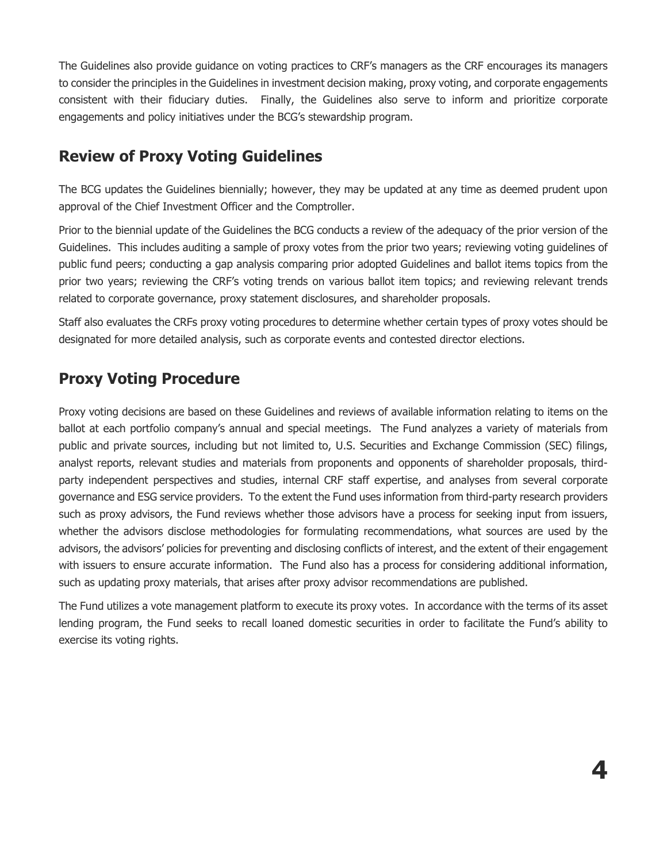The Guidelines also provide guidance on voting practices to CRF's managers as the CRF encourages its managers to consider the principles in the Guidelines in investment decision making, proxy voting, and corporate engagements consistent with their fiduciary duties. Finally, the Guidelines also serve to inform and prioritize corporate engagements and policy initiatives under the BCG's stewardship program.

# **Review of Proxy Voting Guidelines**

The BCG updates the Guidelines biennially; however, they may be updated at any time as deemed prudent upon approval of the Chief Investment Officer and the Comptroller.

Prior to the biennial update of the Guidelines the BCG conducts a review of the adequacy of the prior version of the Guidelines. This includes auditing a sample of proxy votes from the prior two years; reviewing voting guidelines of public fund peers; conducting a gap analysis comparing prior adopted Guidelines and ballot items topics from the prior two years; reviewing the CRF's voting trends on various ballot item topics; and reviewing relevant trends related to corporate governance, proxy statement disclosures, and shareholder proposals.

Staff also evaluates the CRFs proxy voting procedures to determine whether certain types of proxy votes should be designated for more detailed analysis, such as corporate events and contested director elections.

# **Proxy Voting Procedure**

Proxy voting decisions are based on these Guidelines and reviews of available information relating to items on the ballot at each portfolio company's annual and special meetings. The Fund analyzes a variety of materials from public and private sources, including but not limited to, U.S. Securities and Exchange Commission (SEC) filings, analyst reports, relevant studies and materials from proponents and opponents of shareholder proposals, thirdparty independent perspectives and studies, internal CRF staff expertise, and analyses from several corporate governance and ESG service providers. To the extent the Fund uses information from third-party research providers such as proxy advisors, the Fund reviews whether those advisors have a process for seeking input from issuers, whether the advisors disclose methodologies for formulating recommendations, what sources are used by the advisors, the advisors' policies for preventing and disclosing conflicts of interest, and the extent of their engagement with issuers to ensure accurate information. The Fund also has a process for considering additional information, such as updating proxy materials, that arises after proxy advisor recommendations are published.

The Fund utilizes a vote management platform to execute its proxy votes. In accordance with the terms of its asset lending program, the Fund seeks to recall loaned domestic securities in order to facilitate the Fund's ability to exercise its voting rights.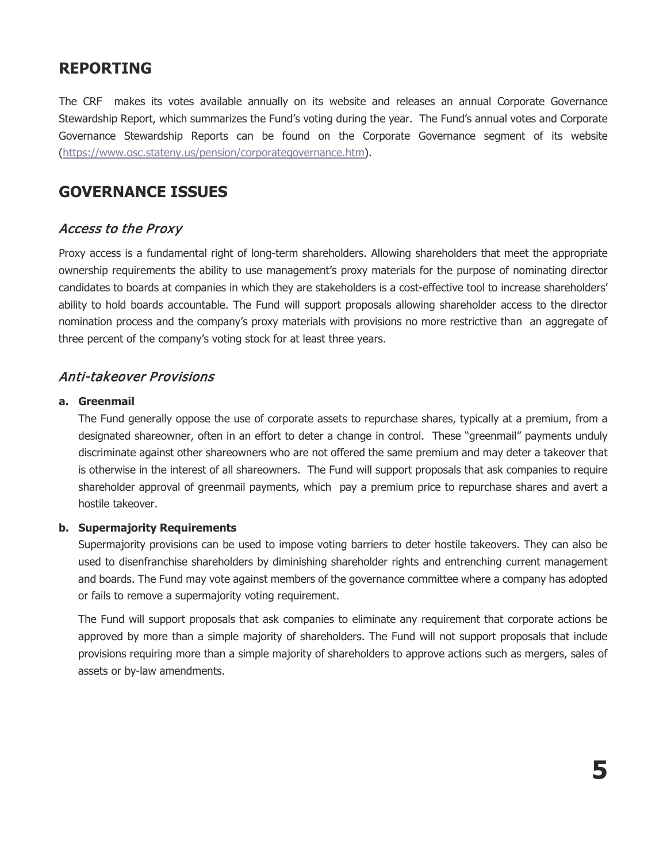# **REPORTING**

The CRF makes its votes available annually on its website and releases an annual Corporate Governance Stewardship Report, which summarizes the Fund's voting during the year. The Fund's annual votes and Corporate Governance Stewardship Reports can be found on the Corporate Governance segment of its website [\(https://www.osc.stateny.us/pension/corporategovernance.htm\)](https://www.osc.stateny.us/pension/corporategovernance.htm).

# **GOVERNANCE ISSUES**

### Access to the Proxy

Proxy access is a fundamental right of long-term shareholders. Allowing shareholders that meet the appropriate ownership requirements the ability to use management's proxy materials for the purpose of nominating director candidates to boards at companies in which they are stakeholders is a cost-effective tool to increase shareholders' ability to hold boards accountable. The Fund will support proposals allowing shareholder access to the director nomination process and the company's proxy materials with provisions no more restrictive than an aggregate of three percent of the company's voting stock for at least three years.

### Anti-takeover Provisions

### **a. Greenmail**

The Fund generally oppose the use of corporate assets to repurchase shares, typically at a premium, from a designated shareowner, often in an effort to deter a change in control. These "greenmail" payments unduly discriminate against other shareowners who are not offered the same premium and may deter a takeover that is otherwise in the interest of all shareowners. The Fund will support proposals that ask companies to require shareholder approval of greenmail payments, which pay a premium price to repurchase shares and avert a hostile takeover.

### **b. Supermajority Requirements**

Supermajority provisions can be used to impose voting barriers to deter hostile takeovers. They can also be used to disenfranchise shareholders by diminishing shareholder rights and entrenching current management and boards. The Fund may vote against members of the governance committee where a company has adopted or fails to remove a supermajority voting requirement.

The Fund will support proposals that ask companies to eliminate any requirement that corporate actions be approved by more than a simple majority of shareholders. The Fund will not support proposals that include provisions requiring more than a simple majority of shareholders to approve actions such as mergers, sales of assets or by-law amendments.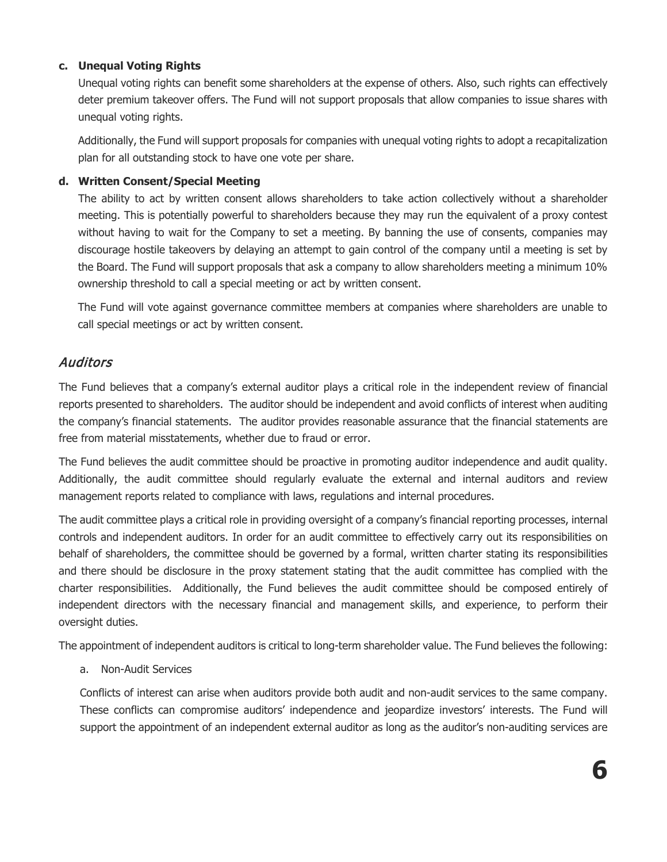### **c. Unequal Voting Rights**

Unequal voting rights can benefit some shareholders at the expense of others. Also, such rights can effectively deter premium takeover offers. The Fund will not support proposals that allow companies to issue shares with unequal voting rights.

Additionally, the Fund will support proposals for companies with unequal voting rights to adopt a recapitalization plan for all outstanding stock to have one vote per share.

#### **d. Written Consent/Special Meeting**

The ability to act by written consent allows shareholders to take action collectively without a shareholder meeting. This is potentially powerful to shareholders because they may run the equivalent of a proxy contest without having to wait for the Company to set a meeting. By banning the use of consents, companies may discourage hostile takeovers by delaying an attempt to gain control of the company until a meeting is set by the Board. The Fund will support proposals that ask a company to allow shareholders meeting a minimum 10% ownership threshold to call a special meeting or act by written consent.

The Fund will vote against governance committee members at companies where shareholders are unable to call special meetings or act by written consent.

### Auditors

The Fund believes that a company's external auditor plays a critical role in the independent review of financial reports presented to shareholders. The auditor should be independent and avoid conflicts of interest when auditing the company's financial statements. The auditor provides reasonable assurance that the financial statements are free from material misstatements, whether due to fraud or error.

The Fund believes the audit committee should be proactive in promoting auditor independence and audit quality. Additionally, the audit committee should regularly evaluate the external and internal auditors and review management reports related to compliance with laws, regulations and internal procedures.

The audit committee plays a critical role in providing oversight of a company's financial reporting processes, internal controls and independent auditors. In order for an audit committee to effectively carry out its responsibilities on behalf of shareholders, the committee should be governed by a formal, written charter stating its responsibilities and there should be disclosure in the proxy statement stating that the audit committee has complied with the charter responsibilities. Additionally, the Fund believes the audit committee should be composed entirely of independent directors with the necessary financial and management skills, and experience, to perform their oversight duties.

The appointment of independent auditors is critical to long-term shareholder value. The Fund believes the following:

a. Non-Audit Services

Conflicts of interest can arise when auditors provide both audit and non-audit services to the same company. These conflicts can compromise auditors' independence and jeopardize investors' interests. The Fund will support the appointment of an independent external auditor as long as the auditor's non-auditing services are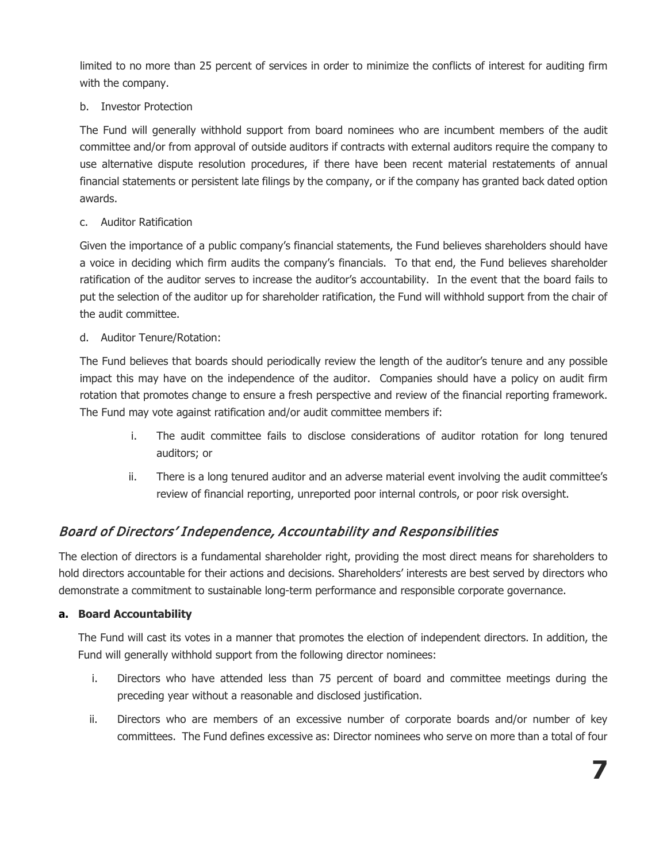limited to no more than 25 percent of services in order to minimize the conflicts of interest for auditing firm with the company.

### b. Investor Protection

The Fund will generally withhold support from board nominees who are incumbent members of the audit committee and/or from approval of outside auditors if contracts with external auditors require the company to use alternative dispute resolution procedures, if there have been recent material restatements of annual financial statements or persistent late filings by the company, or if the company has granted back dated option awards.

### c. Auditor Ratification

Given the importance of a public company's financial statements, the Fund believes shareholders should have a voice in deciding which firm audits the company's financials. To that end, the Fund believes shareholder ratification of the auditor serves to increase the auditor's accountability. In the event that the board fails to put the selection of the auditor up for shareholder ratification, the Fund will withhold support from the chair of the audit committee.

### d. Auditor Tenure/Rotation:

The Fund believes that boards should periodically review the length of the auditor's tenure and any possible impact this may have on the independence of the auditor. Companies should have a policy on audit firm rotation that promotes change to ensure a fresh perspective and review of the financial reporting framework. The Fund may vote against ratification and/or audit committee members if:

- i. The audit committee fails to disclose considerations of auditor rotation for long tenured auditors; or
- ii. There is a long tenured auditor and an adverse material event involving the audit committee's review of financial reporting, unreported poor internal controls, or poor risk oversight.

# Board of Directors' Independence, Accountability and Responsibilities

The election of directors is a fundamental shareholder right, providing the most direct means for shareholders to hold directors accountable for their actions and decisions. Shareholders' interests are best served by directors who demonstrate a commitment to sustainable long-term performance and responsible corporate governance.

### **a. Board Accountability**

The Fund will cast its votes in a manner that promotes the election of independent directors. In addition, the Fund will generally withhold support from the following director nominees:

- i. Directors who have attended less than 75 percent of board and committee meetings during the preceding year without a reasonable and disclosed justification.
- ii. Directors who are members of an excessive number of corporate boards and/or number of key committees. The Fund defines excessive as: Director nominees who serve on more than a total of four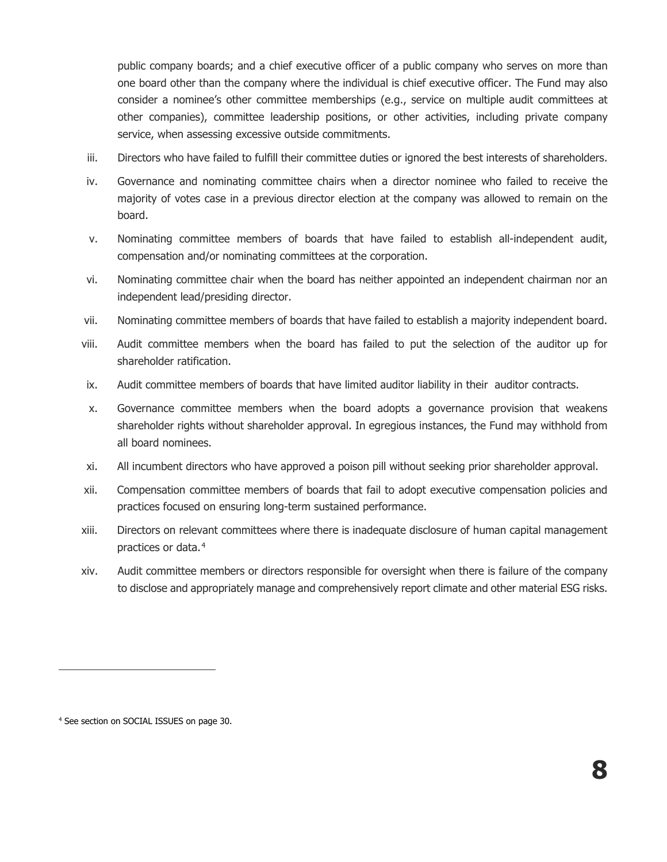public company boards; and a chief executive officer of a public company who serves on more than one board other than the company where the individual is chief executive officer. The Fund may also consider a nominee's other committee memberships (e.g., service on multiple audit committees at other companies), committee leadership positions, or other activities, including private company service, when assessing excessive outside commitments.

- iii. Directors who have failed to fulfill their committee duties or ignored the best interests of shareholders.
- iv. Governance and nominating committee chairs when a director nominee who failed to receive the majority of votes case in a previous director election at the company was allowed to remain on the board.
- v. Nominating committee members of boards that have failed to establish all-independent audit, compensation and/or nominating committees at the corporation.
- vi. Nominating committee chair when the board has neither appointed an independent chairman nor an independent lead/presiding director.
- vii. Nominating committee members of boards that have failed to establish a majority independent board.
- viii. Audit committee members when the board has failed to put the selection of the auditor up for shareholder ratification.
- ix. Audit committee members of boards that have limited auditor liability in their auditor contracts.
- x. Governance committee members when the board adopts a governance provision that weakens shareholder rights without shareholder approval. In egregious instances, the Fund may withhold from all board nominees.
- xi. All incumbent directors who have approved a poison pill without seeking prior shareholder approval.
- xii. Compensation committee members of boards that fail to adopt executive compensation policies and practices focused on ensuring long-term sustained performance.
- xiii. Directors on relevant committees where there is inadequate disclosure of human capital management practices or data.<sup>[4](#page-7-0)</sup>
- xiv. Audit committee members or directors responsible for oversight when there is failure of the company to disclose and appropriately manage and comprehensively report climate and other material ESG risks.

<span id="page-7-0"></span><sup>&</sup>lt;sup>4</sup> See section on SOCIAL ISSUES on page 30.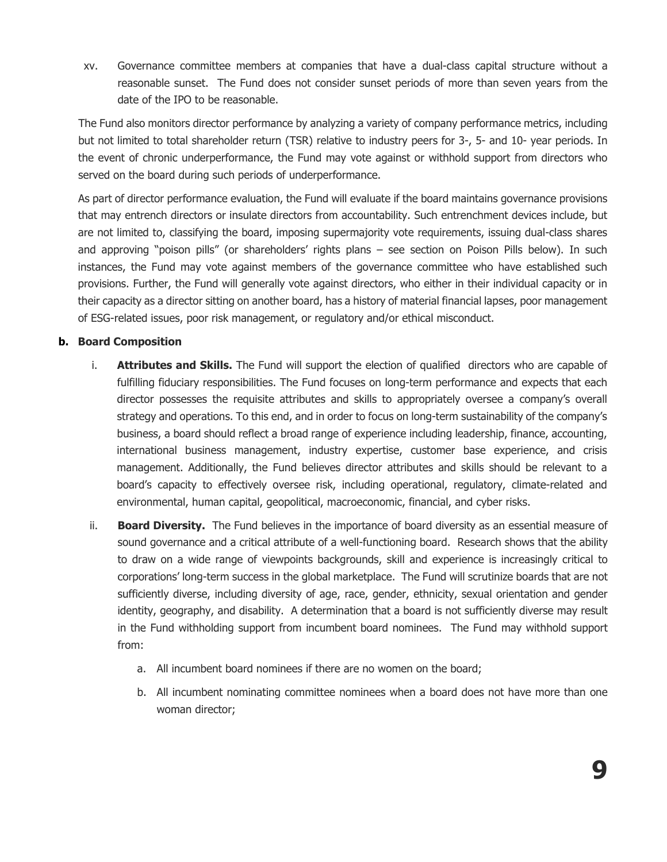xv. Governance committee members at companies that have a dual-class capital structure without a reasonable sunset. The Fund does not consider sunset periods of more than seven years from the date of the IPO to be reasonable.

The Fund also monitors director performance by analyzing a variety of company performance metrics, including but not limited to total shareholder return (TSR) relative to industry peers for 3-, 5- and 10- year periods. In the event of chronic underperformance, the Fund may vote against or withhold support from directors who served on the board during such periods of underperformance.

As part of director performance evaluation, the Fund will evaluate if the board maintains governance provisions that may entrench directors or insulate directors from accountability. Such entrenchment devices include, but are not limited to, classifying the board, imposing supermajority vote requirements, issuing dual-class shares and approving "poison pills" (or shareholders' rights plans – see section on Poison Pills below). In such instances, the Fund may vote against members of the governance committee who have established such provisions. Further, the Fund will generally vote against directors, who either in their individual capacity or in their capacity as a director sitting on another board, has a history of material financial lapses, poor management of ESG-related issues, poor risk management, or regulatory and/or ethical misconduct.

### **b. Board Composition**

- i. **Attributes and Skills.** The Fund will support the election of qualified directors who are capable of fulfilling fiduciary responsibilities. The Fund focuses on long-term performance and expects that each director possesses the requisite attributes and skills to appropriately oversee a company's overall strategy and operations. To this end, and in order to focus on long-term sustainability of the company's business, a board should reflect a broad range of experience including leadership, finance, accounting, international business management, industry expertise, customer base experience, and crisis management. Additionally, the Fund believes director attributes and skills should be relevant to a board's capacity to effectively oversee risk, including operational, regulatory, climate-related and environmental, human capital, geopolitical, macroeconomic, financial, and cyber risks.
- ii. **Board Diversity.** The Fund believes in the importance of board diversity as an essential measure of sound governance and a critical attribute of a well-functioning board. Research shows that the ability to draw on a wide range of viewpoints backgrounds, skill and experience is increasingly critical to corporations' long-term success in the global marketplace. The Fund will scrutinize boards that are not sufficiently diverse, including diversity of age, race, gender, ethnicity, sexual orientation and gender identity, geography, and disability. A determination that a board is not sufficiently diverse may result in the Fund withholding support from incumbent board nominees. The Fund may withhold support from:
	- a. All incumbent board nominees if there are no women on the board;
	- b. All incumbent nominating committee nominees when a board does not have more than one woman director;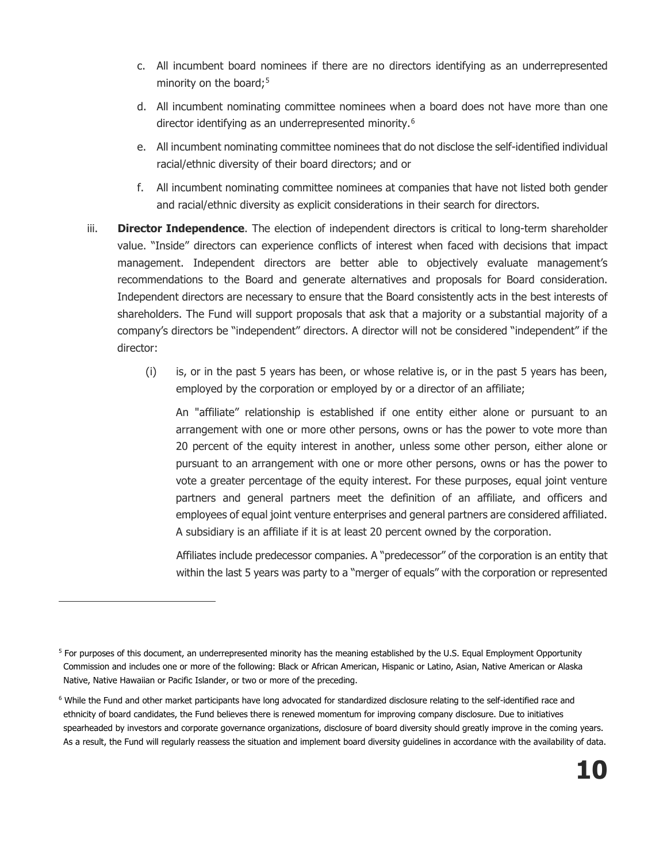- c. All incumbent board nominees if there are no directors identifying as an underrepresented minority on the board;<sup>[5](#page-9-0)</sup>
- d. All incumbent nominating committee nominees when a board does not have more than one director identifying as an underrepresented minority.<sup>[6](#page-9-1)</sup>
- e. All incumbent nominating committee nominees that do not disclose the self-identified individual racial/ethnic diversity of their board directors; and or
- f. All incumbent nominating committee nominees at companies that have not listed both gender and racial/ethnic diversity as explicit considerations in their search for directors.
- iii. **Director Independence**. The election of independent directors is critical to long-term shareholder value. "Inside" directors can experience conflicts of interest when faced with decisions that impact management. Independent directors are better able to objectively evaluate management's recommendations to the Board and generate alternatives and proposals for Board consideration. Independent directors are necessary to ensure that the Board consistently acts in the best interests of shareholders. The Fund will support proposals that ask that a majority or a substantial majority of a company's directors be "independent" directors. A director will not be considered "independent" if the director:
	- (i) is, or in the past 5 years has been, or whose relative is, or in the past 5 years has been, employed by the corporation or employed by or a director of an affiliate;

An "affiliate" relationship is established if one entity either alone or pursuant to an arrangement with one or more other persons, owns or has the power to vote more than 20 percent of the equity interest in another, unless some other person, either alone or pursuant to an arrangement with one or more other persons, owns or has the power to vote a greater percentage of the equity interest. For these purposes, equal joint venture partners and general partners meet the definition of an affiliate, and officers and employees of equal joint venture enterprises and general partners are considered affiliated. A subsidiary is an affiliate if it is at least 20 percent owned by the corporation.

Affiliates include predecessor companies. A "predecessor" of the corporation is an entity that within the last 5 years was party to a "merger of equals" with the corporation or represented

<span id="page-9-0"></span><sup>&</sup>lt;sup>5</sup> For purposes of this document, an underrepresented minority has the meaning established by the U.S. Equal Employment Opportunity Commission and includes one or more of the following: Black or African American, Hispanic or Latino, Asian, Native American or Alaska Native, Native Hawaiian or Pacific Islander, or two or more of the preceding.

<span id="page-9-1"></span><sup>6</sup> While the Fund and other market participants have long advocated for standardized disclosure relating to the self-identified race and ethnicity of board candidates, the Fund believes there is renewed momentum for improving company disclosure. Due to initiatives spearheaded by investors and corporate governance organizations, disclosure of board diversity should greatly improve in the coming years. As a result, the Fund will regularly reassess the situation and implement board diversity guidelines in accordance with the availability of data.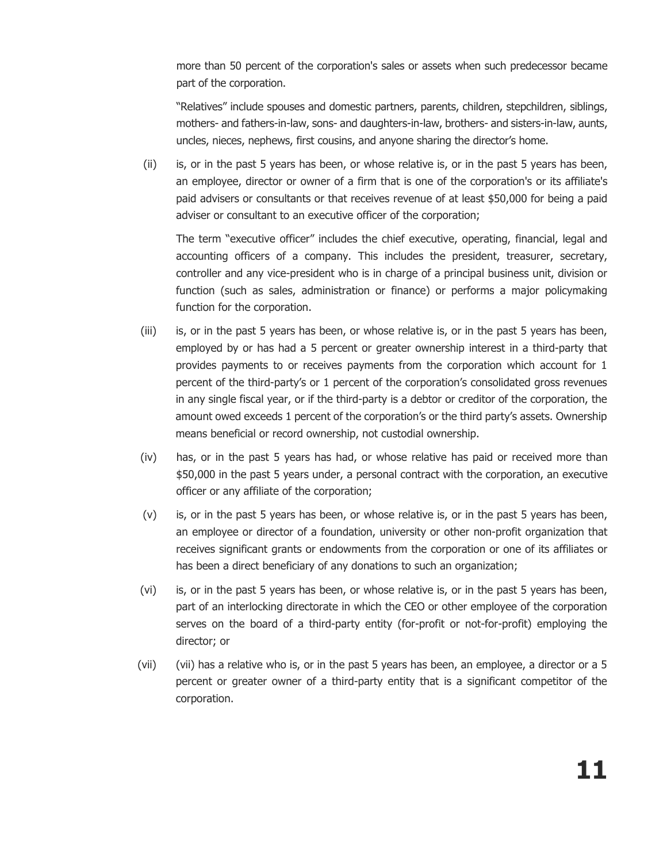more than 50 percent of the corporation's sales or assets when such predecessor became part of the corporation.

"Relatives" include spouses and domestic partners, parents, children, stepchildren, siblings, mothers- and fathers-in-law, sons- and daughters-in-law, brothers- and sisters-in-law, aunts, uncles, nieces, nephews, first cousins, and anyone sharing the director's home.

(ii) is, or in the past 5 years has been, or whose relative is, or in the past 5 years has been, an employee, director or owner of a firm that is one of the corporation's or its affiliate's paid advisers or consultants or that receives revenue of at least \$50,000 for being a paid adviser or consultant to an executive officer of the corporation;

The term "executive officer" includes the chief executive, operating, financial, legal and accounting officers of a company. This includes the president, treasurer, secretary, controller and any vice-president who is in charge of a principal business unit, division or function (such as sales, administration or finance) or performs a major policymaking function for the corporation.

- (iii) is, or in the past 5 years has been, or whose relative is, or in the past 5 years has been, employed by or has had a 5 percent or greater ownership interest in a third-party that provides payments to or receives payments from the corporation which account for 1 percent of the third-party's or 1 percent of the corporation's consolidated gross revenues in any single fiscal year, or if the third-party is a debtor or creditor of the corporation, the amount owed exceeds 1 percent of the corporation's or the third party's assets. Ownership means beneficial or record ownership, not custodial ownership.
- (iv) has, or in the past 5 years has had, or whose relative has paid or received more than \$50,000 in the past 5 years under, a personal contract with the corporation, an executive officer or any affiliate of the corporation;
- (v) is, or in the past 5 years has been, or whose relative is, or in the past 5 years has been, an employee or director of a foundation, university or other non-profit organization that receives significant grants or endowments from the corporation or one of its affiliates or has been a direct beneficiary of any donations to such an organization;
- (vi) is, or in the past 5 years has been, or whose relative is, or in the past 5 years has been, part of an interlocking directorate in which the CEO or other employee of the corporation serves on the board of a third-party entity (for-profit or not-for-profit) employing the director; or
- (vii) (vii) has a relative who is, or in the past 5 years has been, an employee, a director or a 5 percent or greater owner of a third-party entity that is a significant competitor of the corporation.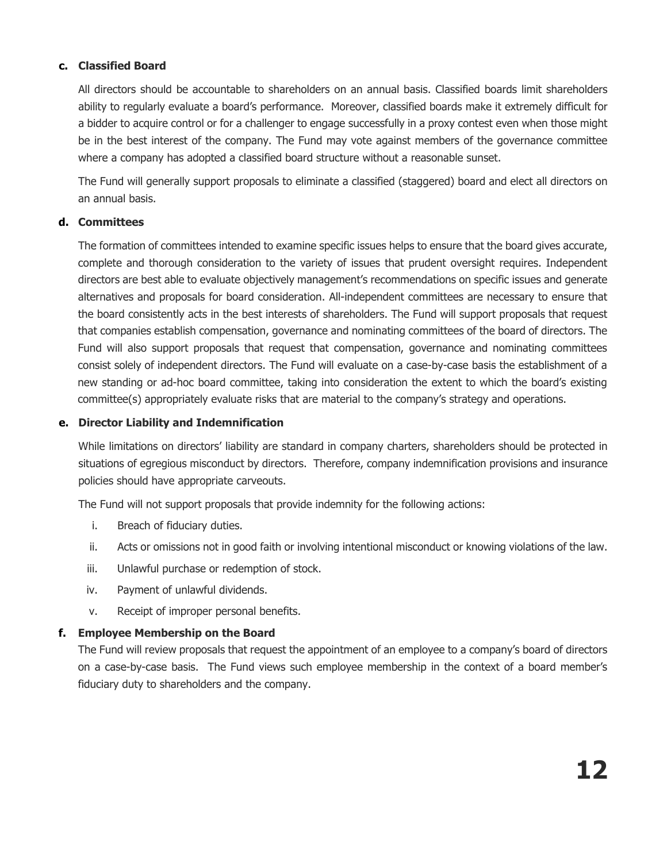### **c. Classified Board**

All directors should be accountable to shareholders on an annual basis. Classified boards limit shareholders ability to regularly evaluate a board's performance. Moreover, classified boards make it extremely difficult for a bidder to acquire control or for a challenger to engage successfully in a proxy contest even when those might be in the best interest of the company. The Fund may vote against members of the governance committee where a company has adopted a classified board structure without a reasonable sunset.

The Fund will generally support proposals to eliminate a classified (staggered) board and elect all directors on an annual basis.

### **d. Committees**

The formation of committees intended to examine specific issues helps to ensure that the board gives accurate, complete and thorough consideration to the variety of issues that prudent oversight requires. Independent directors are best able to evaluate objectively management's recommendations on specific issues and generate alternatives and proposals for board consideration. All-independent committees are necessary to ensure that the board consistently acts in the best interests of shareholders. The Fund will support proposals that request that companies establish compensation, governance and nominating committees of the board of directors. The Fund will also support proposals that request that compensation, governance and nominating committees consist solely of independent directors. The Fund will evaluate on a case-by-case basis the establishment of a new standing or ad-hoc board committee, taking into consideration the extent to which the board's existing committee(s) appropriately evaluate risks that are material to the company's strategy and operations.

### **e. Director Liability and Indemnification**

While limitations on directors' liability are standard in company charters, shareholders should be protected in situations of egregious misconduct by directors. Therefore, company indemnification provisions and insurance policies should have appropriate carveouts.

The Fund will not support proposals that provide indemnity for the following actions:

- i. Breach of fiduciary duties.
- ii. Acts or omissions not in good faith or involving intentional misconduct or knowing violations of the law.
- iii. Unlawful purchase or redemption of stock.
- iv. Payment of unlawful dividends.
- v. Receipt of improper personal benefits.

### **f. Employee Membership on the Board**

The Fund will review proposals that request the appointment of an employee to a company's board of directors on a case-by-case basis. The Fund views such employee membership in the context of a board member's fiduciary duty to shareholders and the company.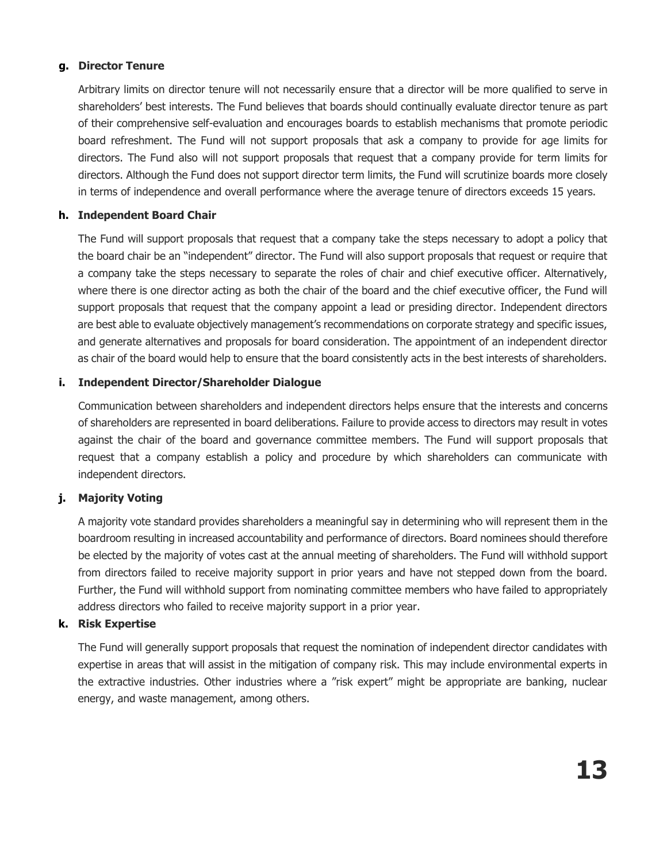### **g. Director Tenure**

Arbitrary limits on director tenure will not necessarily ensure that a director will be more qualified to serve in shareholders' best interests. The Fund believes that boards should continually evaluate director tenure as part of their comprehensive self-evaluation and encourages boards to establish mechanisms that promote periodic board refreshment. The Fund will not support proposals that ask a company to provide for age limits for directors. The Fund also will not support proposals that request that a company provide for term limits for directors. Although the Fund does not support director term limits, the Fund will scrutinize boards more closely in terms of independence and overall performance where the average tenure of directors exceeds 15 years.

### **h. Independent Board Chair**

The Fund will support proposals that request that a company take the steps necessary to adopt a policy that the board chair be an "independent" director. The Fund will also support proposals that request or require that a company take the steps necessary to separate the roles of chair and chief executive officer. Alternatively, where there is one director acting as both the chair of the board and the chief executive officer, the Fund will support proposals that request that the company appoint a lead or presiding director. Independent directors are best able to evaluate objectively management's recommendations on corporate strategy and specific issues, and generate alternatives and proposals for board consideration. The appointment of an independent director as chair of the board would help to ensure that the board consistently acts in the best interests of shareholders.

### **i. Independent Director/Shareholder Dialogue**

Communication between shareholders and independent directors helps ensure that the interests and concerns of shareholders are represented in board deliberations. Failure to provide access to directors may result in votes against the chair of the board and governance committee members. The Fund will support proposals that request that a company establish a policy and procedure by which shareholders can communicate with independent directors.

### **j. Majority Voting**

A majority vote standard provides shareholders a meaningful say in determining who will represent them in the boardroom resulting in increased accountability and performance of directors. Board nominees should therefore be elected by the majority of votes cast at the annual meeting of shareholders. The Fund will withhold support from directors failed to receive majority support in prior years and have not stepped down from the board. Further, the Fund will withhold support from nominating committee members who have failed to appropriately address directors who failed to receive majority support in a prior year.

#### **k. Risk Expertise**

The Fund will generally support proposals that request the nomination of independent director candidates with expertise in areas that will assist in the mitigation of company risk. This may include environmental experts in the extractive industries. Other industries where a "risk expert" might be appropriate are banking, nuclear energy, and waste management, among others.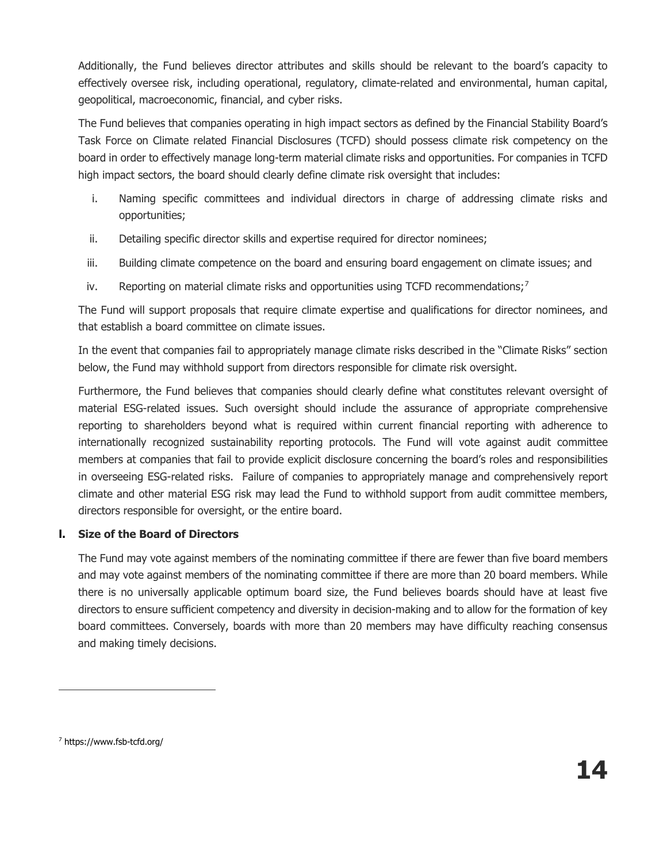Additionally, the Fund believes director attributes and skills should be relevant to the board's capacity to effectively oversee risk, including operational, regulatory, climate-related and environmental, human capital, geopolitical, macroeconomic, financial, and cyber risks.

The Fund believes that companies operating in high impact sectors as defined by the Financial Stability Board's Task Force on Climate related Financial Disclosures (TCFD) should possess climate risk competency on the board in order to effectively manage long-term material climate risks and opportunities. For companies in TCFD high impact sectors, the board should clearly define climate risk oversight that includes:

- i. Naming specific committees and individual directors in charge of addressing climate risks and opportunities;
- ii. Detailing specific director skills and expertise required for director nominees;
- iii. Building climate competence on the board and ensuring board engagement on climate issues; and
- iv. Reporting on material climate risks and opportunities using TCFD recommendations;<sup>[7](#page-13-0)</sup>

The Fund will support proposals that require climate expertise and qualifications for director nominees, and that establish a board committee on climate issues.

In the event that companies fail to appropriately manage climate risks described in the "Climate Risks" section below, the Fund may withhold support from directors responsible for climate risk oversight.

Furthermore, the Fund believes that companies should clearly define what constitutes relevant oversight of material ESG-related issues. Such oversight should include the assurance of appropriate comprehensive reporting to shareholders beyond what is required within current financial reporting with adherence to internationally recognized sustainability reporting protocols. The Fund will vote against audit committee members at companies that fail to provide explicit disclosure concerning the board's roles and responsibilities in overseeing ESG-related risks. Failure of companies to appropriately manage and comprehensively report climate and other material ESG risk may lead the Fund to withhold support from audit committee members, directors responsible for oversight, or the entire board.

### **l. Size of the Board of Directors**

The Fund may vote against members of the nominating committee if there are fewer than five board members and may vote against members of the nominating committee if there are more than 20 board members. While there is no universally applicable optimum board size, the Fund believes boards should have at least five directors to ensure sufficient competency and diversity in decision-making and to allow for the formation of key board committees. Conversely, boards with more than 20 members may have difficulty reaching consensus and making timely decisions.

<span id="page-13-0"></span><sup>7</sup> https://www.fsb-tcfd.org/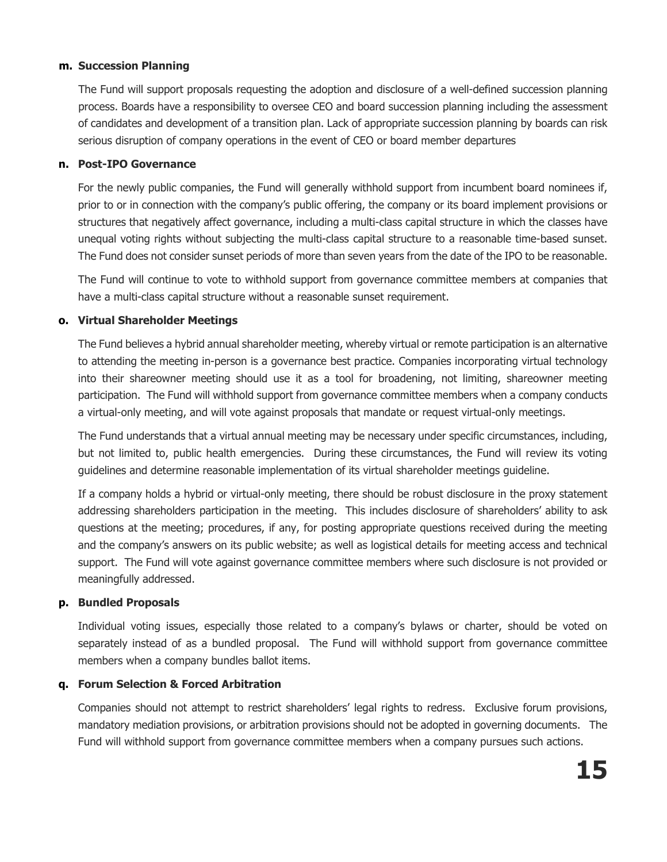#### **m. Succession Planning**

The Fund will support proposals requesting the adoption and disclosure of a well-defined succession planning process. Boards have a responsibility to oversee CEO and board succession planning including the assessment of candidates and development of a transition plan. Lack of appropriate succession planning by boards can risk serious disruption of company operations in the event of CEO or board member departures

#### **n. Post-IPO Governance**

For the newly public companies, the Fund will generally withhold support from incumbent board nominees if, prior to or in connection with the company's public offering, the company or its board implement provisions or structures that negatively affect governance, including a multi-class capital structure in which the classes have unequal voting rights without subjecting the multi-class capital structure to a reasonable time-based sunset. The Fund does not consider sunset periods of more than seven years from the date of the IPO to be reasonable.

The Fund will continue to vote to withhold support from governance committee members at companies that have a multi-class capital structure without a reasonable sunset requirement.

### **o. Virtual Shareholder Meetings**

The Fund believes a hybrid annual shareholder meeting, whereby virtual or remote participation is an alternative to attending the meeting in-person is a governance best practice. Companies incorporating virtual technology into their shareowner meeting should use it as a tool for broadening, not limiting, shareowner meeting participation. The Fund will withhold support from governance committee members when a company conducts a virtual-only meeting, and will vote against proposals that mandate or request virtual-only meetings.

The Fund understands that a virtual annual meeting may be necessary under specific circumstances, including, but not limited to, public health emergencies. During these circumstances, the Fund will review its voting guidelines and determine reasonable implementation of its virtual shareholder meetings guideline.

If a company holds a hybrid or virtual-only meeting, there should be robust disclosure in the proxy statement addressing shareholders participation in the meeting. This includes disclosure of shareholders' ability to ask questions at the meeting; procedures, if any, for posting appropriate questions received during the meeting and the company's answers on its public website; as well as logistical details for meeting access and technical support. The Fund will vote against governance committee members where such disclosure is not provided or meaningfully addressed.

#### **p. Bundled Proposals**

Individual voting issues, especially those related to a company's bylaws or charter, should be voted on separately instead of as a bundled proposal. The Fund will withhold support from governance committee members when a company bundles ballot items.

### **q. Forum Selection & Forced Arbitration**

Companies should not attempt to restrict shareholders' legal rights to redress. Exclusive forum provisions, mandatory mediation provisions, or arbitration provisions should not be adopted in governing documents. The Fund will withhold support from governance committee members when a company pursues such actions.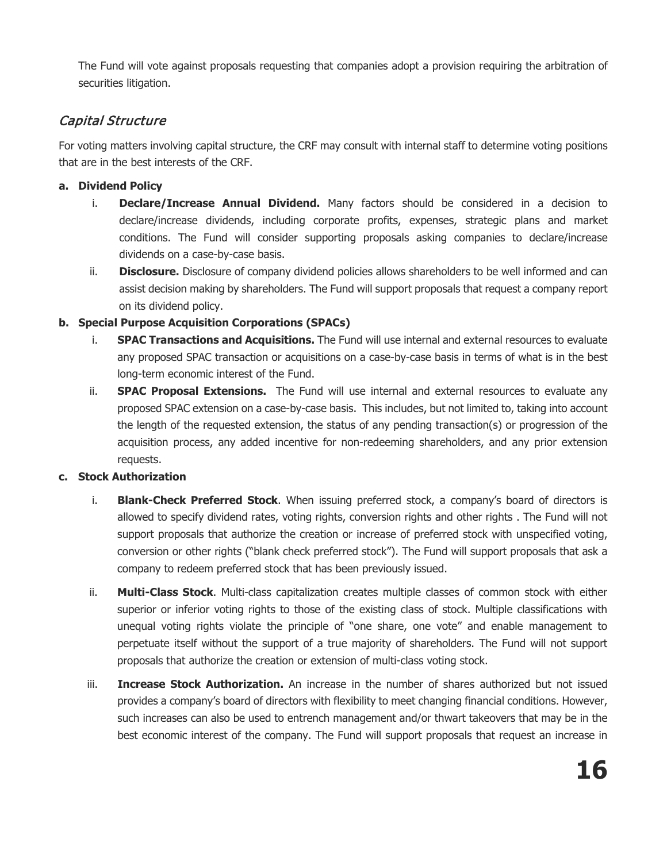The Fund will vote against proposals requesting that companies adopt a provision requiring the arbitration of securities litigation.

# Capital Structure

For voting matters involving capital structure, the CRF may consult with internal staff to determine voting positions that are in the best interests of the CRF.

### **a. Dividend Policy**

- i. **Declare/Increase Annual Dividend.** Many factors should be considered in a decision to declare/increase dividends, including corporate profits, expenses, strategic plans and market conditions. The Fund will consider supporting proposals asking companies to declare/increase dividends on a case-by-case basis.
- ii. **Disclosure.** Disclosure of company dividend policies allows shareholders to be well informed and can assist decision making by shareholders. The Fund will support proposals that request a company report on its dividend policy.

### **b. Special Purpose Acquisition Corporations (SPACs)**

- i. **SPAC Transactions and Acquisitions.** The Fund will use internal and external resources to evaluate any proposed SPAC transaction or acquisitions on a case-by-case basis in terms of what is in the best long-term economic interest of the Fund.
- ii. **SPAC Proposal Extensions.** The Fund will use internal and external resources to evaluate any proposed SPAC extension on a case-by-case basis. This includes, but not limited to, taking into account the length of the requested extension, the status of any pending transaction(s) or progression of the acquisition process, any added incentive for non-redeeming shareholders, and any prior extension requests.

### **c. Stock Authorization**

- i. **Blank-Check Preferred Stock**. When issuing preferred stock, a company's board of directors is allowed to specify dividend rates, voting rights, conversion rights and other rights . The Fund will not support proposals that authorize the creation or increase of preferred stock with unspecified voting, conversion or other rights ("blank check preferred stock"). The Fund will support proposals that ask a company to redeem preferred stock that has been previously issued.
- ii. **Multi-Class Stock**. Multi-class capitalization creates multiple classes of common stock with either superior or inferior voting rights to those of the existing class of stock. Multiple classifications with unequal voting rights violate the principle of "one share, one vote" and enable management to perpetuate itself without the support of a true majority of shareholders. The Fund will not support proposals that authorize the creation or extension of multi-class voting stock.
- iii. **Increase Stock Authorization.** An increase in the number of shares authorized but not issued provides a company's board of directors with flexibility to meet changing financial conditions. However, such increases can also be used to entrench management and/or thwart takeovers that may be in the best economic interest of the company. The Fund will support proposals that request an increase in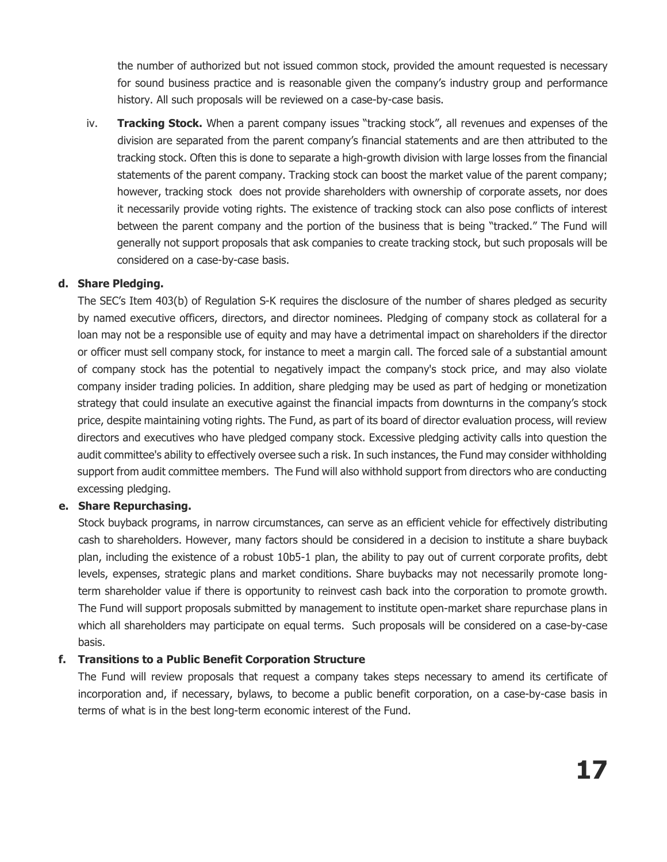the number of authorized but not issued common stock, provided the amount requested is necessary for sound business practice and is reasonable given the company's industry group and performance history. All such proposals will be reviewed on a case-by-case basis.

iv. **Tracking Stock.** When a parent company issues "tracking stock", all revenues and expenses of the division are separated from the parent company's financial statements and are then attributed to the tracking stock. Often this is done to separate a high-growth division with large losses from the financial statements of the parent company. Tracking stock can boost the market value of the parent company; however, tracking stock does not provide shareholders with ownership of corporate assets, nor does it necessarily provide voting rights. The existence of tracking stock can also pose conflicts of interest between the parent company and the portion of the business that is being "tracked." The Fund will generally not support proposals that ask companies to create tracking stock, but such proposals will be considered on a case-by-case basis.

### **d. Share Pledging.**

The SEC's Item 403(b) of Regulation S-K requires the disclosure of the number of shares pledged as security by named executive officers, directors, and director nominees. Pledging of company stock as collateral for a loan may not be a responsible use of equity and may have a detrimental impact on shareholders if the director or officer must sell company stock, for instance to meet a margin call. The forced sale of a substantial amount of company stock has the potential to negatively impact the company's stock price, and may also violate company insider trading policies. In addition, share pledging may be used as part of hedging or monetization strategy that could insulate an executive against the financial impacts from downturns in the company's stock price, despite maintaining voting rights. The Fund, as part of its board of director evaluation process, will review directors and executives who have pledged company stock. Excessive pledging activity calls into question the audit committee's ability to effectively oversee such a risk. In such instances, the Fund may consider withholding support from audit committee members. The Fund will also withhold support from directors who are conducting excessing pledging.

#### **e. Share Repurchasing.**

Stock buyback programs, in narrow circumstances, can serve as an efficient vehicle for effectively distributing cash to shareholders. However, many factors should be considered in a decision to institute a share buyback plan, including the existence of a robust 10b5-1 plan, the ability to pay out of current corporate profits, debt levels, expenses, strategic plans and market conditions. Share buybacks may not necessarily promote longterm shareholder value if there is opportunity to reinvest cash back into the corporation to promote growth. The Fund will support proposals submitted by management to institute open-market share repurchase plans in which all shareholders may participate on equal terms. Such proposals will be considered on a case-by-case basis.

### **f. Transitions to a Public Benefit Corporation Structure**

The Fund will review proposals that request a company takes steps necessary to amend its certificate of incorporation and, if necessary, bylaws, to become a public benefit corporation, on a case-by-case basis in terms of what is in the best long-term economic interest of the Fund.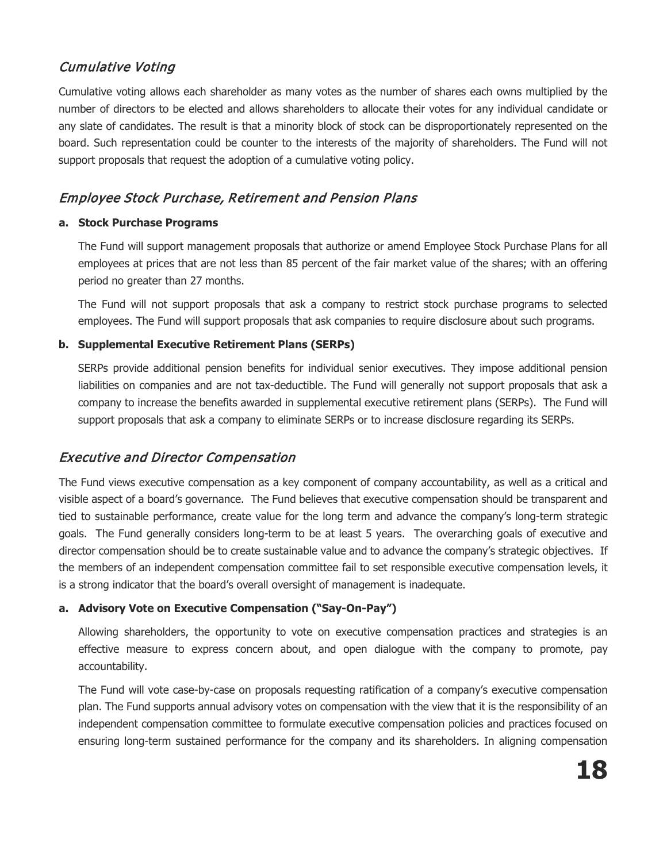# Cumulative Voting

Cumulative voting allows each shareholder as many votes as the number of shares each owns multiplied by the number of directors to be elected and allows shareholders to allocate their votes for any individual candidate or any slate of candidates. The result is that a minority block of stock can be disproportionately represented on the board. Such representation could be counter to the interests of the majority of shareholders. The Fund will not support proposals that request the adoption of a cumulative voting policy.

## Employee Stock Purchase, Retirement and Pension Plans

### **a. Stock Purchase Programs**

The Fund will support management proposals that authorize or amend Employee Stock Purchase Plans for all employees at prices that are not less than 85 percent of the fair market value of the shares; with an offering period no greater than 27 months.

The Fund will not support proposals that ask a company to restrict stock purchase programs to selected employees. The Fund will support proposals that ask companies to require disclosure about such programs.

### **b. Supplemental Executive Retirement Plans (SERPs)**

SERPs provide additional pension benefits for individual senior executives. They impose additional pension liabilities on companies and are not tax-deductible. The Fund will generally not support proposals that ask a company to increase the benefits awarded in supplemental executive retirement plans (SERPs). The Fund will support proposals that ask a company to eliminate SERPs or to increase disclosure regarding its SERPs.

### Executive and Director Compensation

The Fund views executive compensation as a key component of company accountability, as well as a critical and visible aspect of a board's governance. The Fund believes that executive compensation should be transparent and tied to sustainable performance, create value for the long term and advance the company's long-term strategic goals. The Fund generally considers long-term to be at least 5 years. The overarching goals of executive and director compensation should be to create sustainable value and to advance the company's strategic objectives. If the members of an independent compensation committee fail to set responsible executive compensation levels, it is a strong indicator that the board's overall oversight of management is inadequate.

### **a. Advisory Vote on Executive Compensation ("Say-On-Pay")**

Allowing shareholders, the opportunity to vote on executive compensation practices and strategies is an effective measure to express concern about, and open dialogue with the company to promote, pay accountability.

The Fund will vote case-by-case on proposals requesting ratification of a company's executive compensation plan. The Fund supports annual advisory votes on compensation with the view that it is the responsibility of an independent compensation committee to formulate executive compensation policies and practices focused on ensuring long-term sustained performance for the company and its shareholders. In aligning compensation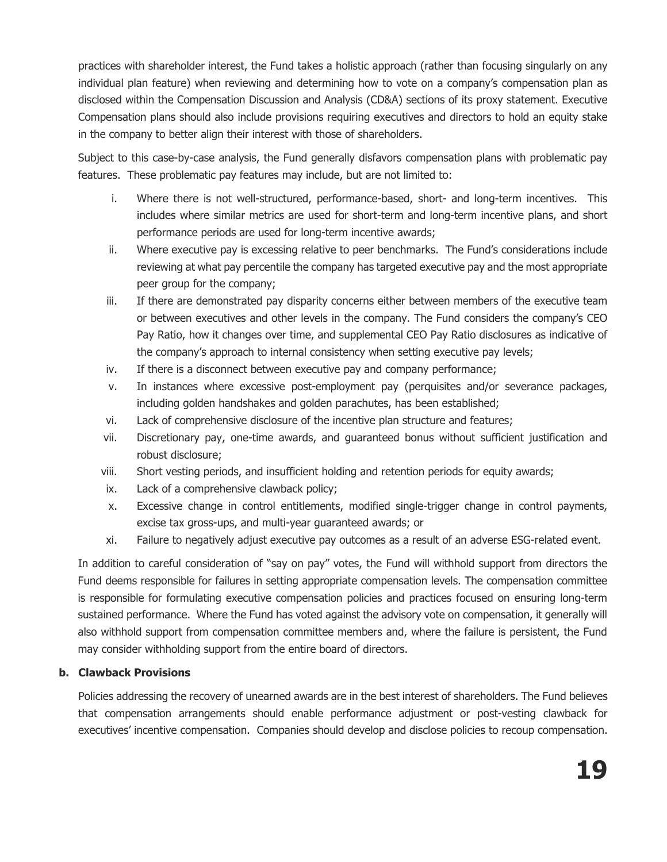practices with shareholder interest, the Fund takes a holistic approach (rather than focusing singularly on any individual plan feature) when reviewing and determining how to vote on a company's compensation plan as disclosed within the Compensation Discussion and Analysis (CD&A) sections of its proxy statement. Executive Compensation plans should also include provisions requiring executives and directors to hold an equity stake in the company to better align their interest with those of shareholders.

Subject to this case-by-case analysis, the Fund generally disfavors compensation plans with problematic pay features. These problematic pay features may include, but are not limited to:

- i. Where there is not well-structured, performance-based, short- and long-term incentives. This includes where similar metrics are used for short-term and long-term incentive plans, and short performance periods are used for long-term incentive awards;
- ii. Where executive pay is excessing relative to peer benchmarks. The Fund's considerations include reviewing at what pay percentile the company has targeted executive pay and the most appropriate peer group for the company;
- iii. If there are demonstrated pay disparity concerns either between members of the executive team or between executives and other levels in the company. The Fund considers the company's CEO Pay Ratio, how it changes over time, and supplemental CEO Pay Ratio disclosures as indicative of the company's approach to internal consistency when setting executive pay levels;
- iv. If there is a disconnect between executive pay and company performance;
- v. In instances where excessive post-employment pay (perquisites and/or severance packages, including golden handshakes and golden parachutes, has been established;
- vi. Lack of comprehensive disclosure of the incentive plan structure and features;
- vii. Discretionary pay, one-time awards, and guaranteed bonus without sufficient justification and robust disclosure;
- viii. Short vesting periods, and insufficient holding and retention periods for equity awards;
- ix. Lack of a comprehensive clawback policy;
- x. Excessive change in control entitlements, modified single-trigger change in control payments, excise tax gross-ups, and multi-year guaranteed awards; or
- xi. Failure to negatively adjust executive pay outcomes as a result of an adverse ESG-related event.

In addition to careful consideration of "say on pay" votes, the Fund will withhold support from directors the Fund deems responsible for failures in setting appropriate compensation levels. The compensation committee is responsible for formulating executive compensation policies and practices focused on ensuring long-term sustained performance. Where the Fund has voted against the advisory vote on compensation, it generally will also withhold support from compensation committee members and, where the failure is persistent, the Fund may consider withholding support from the entire board of directors.

### **b. Clawback Provisions**

Policies addressing the recovery of unearned awards are in the best interest of shareholders. The Fund believes that compensation arrangements should enable performance adjustment or post-vesting clawback for executives' incentive compensation. Companies should develop and disclose policies to recoup compensation.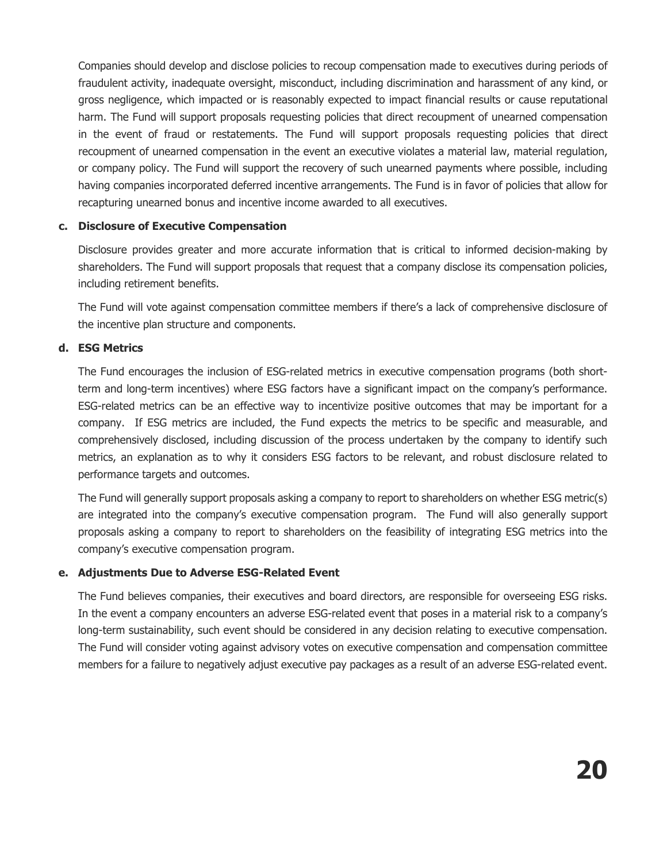Companies should develop and disclose policies to recoup compensation made to executives during periods of fraudulent activity, inadequate oversight, misconduct, including discrimination and harassment of any kind, or gross negligence, which impacted or is reasonably expected to impact financial results or cause reputational harm. The Fund will support proposals requesting policies that direct recoupment of unearned compensation in the event of fraud or restatements. The Fund will support proposals requesting policies that direct recoupment of unearned compensation in the event an executive violates a material law, material regulation, or company policy. The Fund will support the recovery of such unearned payments where possible, including having companies incorporated deferred incentive arrangements. The Fund is in favor of policies that allow for recapturing unearned bonus and incentive income awarded to all executives.

### **c. Disclosure of Executive Compensation**

Disclosure provides greater and more accurate information that is critical to informed decision-making by shareholders. The Fund will support proposals that request that a company disclose its compensation policies, including retirement benefits.

The Fund will vote against compensation committee members if there's a lack of comprehensive disclosure of the incentive plan structure and components.

### **d. ESG Metrics**

The Fund encourages the inclusion of ESG-related metrics in executive compensation programs (both shortterm and long-term incentives) where ESG factors have a significant impact on the company's performance. ESG-related metrics can be an effective way to incentivize positive outcomes that may be important for a company. If ESG metrics are included, the Fund expects the metrics to be specific and measurable, and comprehensively disclosed, including discussion of the process undertaken by the company to identify such metrics, an explanation as to why it considers ESG factors to be relevant, and robust disclosure related to performance targets and outcomes.

The Fund will generally support proposals asking a company to report to shareholders on whether ESG metric(s) are integrated into the company's executive compensation program. The Fund will also generally support proposals asking a company to report to shareholders on the feasibility of integrating ESG metrics into the company's executive compensation program.

#### **e. Adjustments Due to Adverse ESG-Related Event**

The Fund believes companies, their executives and board directors, are responsible for overseeing ESG risks. In the event a company encounters an adverse ESG-related event that poses in a material risk to a company's long-term sustainability, such event should be considered in any decision relating to executive compensation. The Fund will consider voting against advisory votes on executive compensation and compensation committee members for a failure to negatively adjust executive pay packages as a result of an adverse ESG-related event.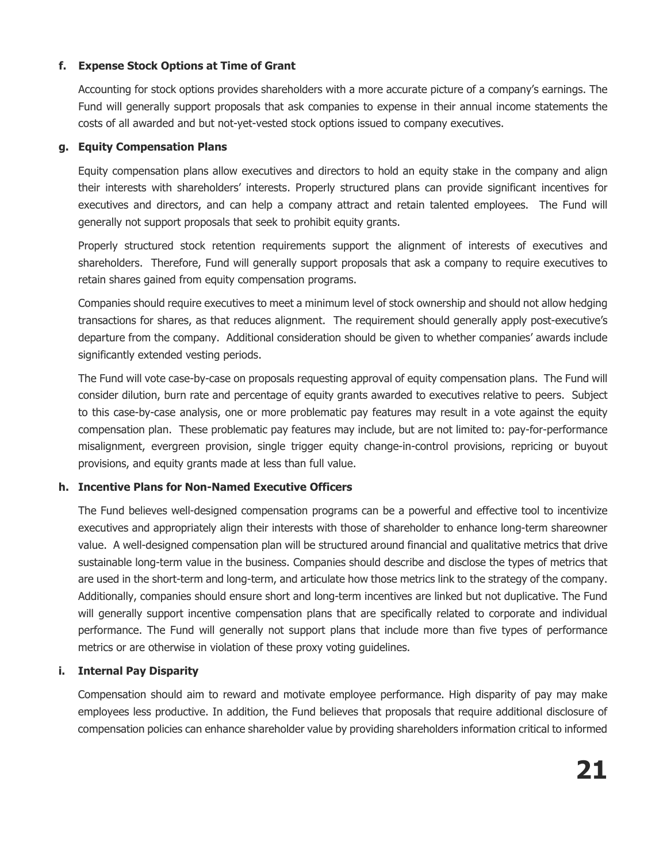### **f. Expense Stock Options at Time of Grant**

Accounting for stock options provides shareholders with a more accurate picture of a company's earnings. The Fund will generally support proposals that ask companies to expense in their annual income statements the costs of all awarded and but not-yet-vested stock options issued to company executives.

### **g. Equity Compensation Plans**

Equity compensation plans allow executives and directors to hold an equity stake in the company and align their interests with shareholders' interests. Properly structured plans can provide significant incentives for executives and directors, and can help a company attract and retain talented employees. The Fund will generally not support proposals that seek to prohibit equity grants.

Properly structured stock retention requirements support the alignment of interests of executives and shareholders. Therefore, Fund will generally support proposals that ask a company to require executives to retain shares gained from equity compensation programs.

Companies should require executives to meet a minimum level of stock ownership and should not allow hedging transactions for shares, as that reduces alignment. The requirement should generally apply post-executive's departure from the company. Additional consideration should be given to whether companies' awards include significantly extended vesting periods.

The Fund will vote case-by-case on proposals requesting approval of equity compensation plans. The Fund will consider dilution, burn rate and percentage of equity grants awarded to executives relative to peers. Subject to this case-by-case analysis, one or more problematic pay features may result in a vote against the equity compensation plan. These problematic pay features may include, but are not limited to: pay-for-performance misalignment, evergreen provision, single trigger equity change-in-control provisions, repricing or buyout provisions, and equity grants made at less than full value.

### **h. Incentive Plans for Non-Named Executive Officers**

The Fund believes well-designed compensation programs can be a powerful and effective tool to incentivize executives and appropriately align their interests with those of shareholder to enhance long-term shareowner value. A well-designed compensation plan will be structured around financial and qualitative metrics that drive sustainable long-term value in the business. Companies should describe and disclose the types of metrics that are used in the short-term and long-term, and articulate how those metrics link to the strategy of the company. Additionally, companies should ensure short and long-term incentives are linked but not duplicative. The Fund will generally support incentive compensation plans that are specifically related to corporate and individual performance. The Fund will generally not support plans that include more than five types of performance metrics or are otherwise in violation of these proxy voting guidelines.

### **i. Internal Pay Disparity**

Compensation should aim to reward and motivate employee performance. High disparity of pay may make employees less productive. In addition, the Fund believes that proposals that require additional disclosure of compensation policies can enhance shareholder value by providing shareholders information critical to informed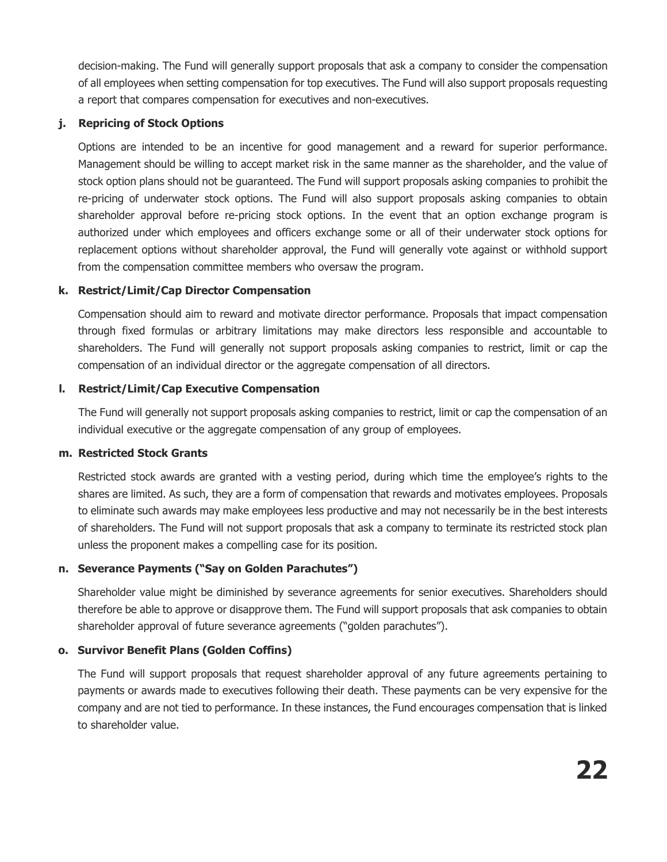decision-making. The Fund will generally support proposals that ask a company to consider the compensation of all employees when setting compensation for top executives. The Fund will also support proposals requesting a report that compares compensation for executives and non-executives.

### **j. Repricing of Stock Options**

Options are intended to be an incentive for good management and a reward for superior performance. Management should be willing to accept market risk in the same manner as the shareholder, and the value of stock option plans should not be guaranteed. The Fund will support proposals asking companies to prohibit the re-pricing of underwater stock options. The Fund will also support proposals asking companies to obtain shareholder approval before re-pricing stock options. In the event that an option exchange program is authorized under which employees and officers exchange some or all of their underwater stock options for replacement options without shareholder approval, the Fund will generally vote against or withhold support from the compensation committee members who oversaw the program.

### **k. Restrict/Limit/Cap Director Compensation**

Compensation should aim to reward and motivate director performance. Proposals that impact compensation through fixed formulas or arbitrary limitations may make directors less responsible and accountable to shareholders. The Fund will generally not support proposals asking companies to restrict, limit or cap the compensation of an individual director or the aggregate compensation of all directors.

### **l. Restrict/Limit/Cap Executive Compensation**

The Fund will generally not support proposals asking companies to restrict, limit or cap the compensation of an individual executive or the aggregate compensation of any group of employees.

### **m. Restricted Stock Grants**

Restricted stock awards are granted with a vesting period, during which time the employee's rights to the shares are limited. As such, they are a form of compensation that rewards and motivates employees. Proposals to eliminate such awards may make employees less productive and may not necessarily be in the best interests of shareholders. The Fund will not support proposals that ask a company to terminate its restricted stock plan unless the proponent makes a compelling case for its position.

### **n. Severance Payments ("Say on Golden Parachutes")**

Shareholder value might be diminished by severance agreements for senior executives. Shareholders should therefore be able to approve or disapprove them. The Fund will support proposals that ask companies to obtain shareholder approval of future severance agreements ("golden parachutes").

### **o. Survivor Benefit Plans (Golden Coffins)**

The Fund will support proposals that request shareholder approval of any future agreements pertaining to payments or awards made to executives following their death. These payments can be very expensive for the company and are not tied to performance. In these instances, the Fund encourages compensation that is linked to shareholder value.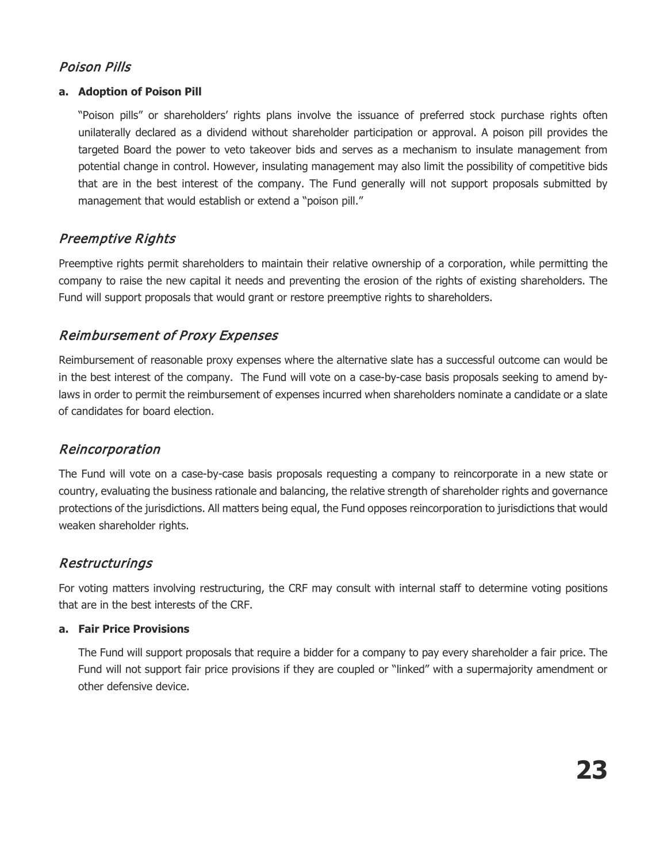## Poison Pills

### **a. Adoption of Poison Pill**

"Poison pills" or shareholders' rights plans involve the issuance of preferred stock purchase rights often unilaterally declared as a dividend without shareholder participation or approval. A poison pill provides the targeted Board the power to veto takeover bids and serves as a mechanism to insulate management from potential change in control. However, insulating management may also limit the possibility of competitive bids that are in the best interest of the company. The Fund generally will not support proposals submitted by management that would establish or extend a "poison pill."

### Preemptive Rights

Preemptive rights permit shareholders to maintain their relative ownership of a corporation, while permitting the company to raise the new capital it needs and preventing the erosion of the rights of existing shareholders. The Fund will support proposals that would grant or restore preemptive rights to shareholders.

## Reimbursement of Proxy Expenses

Reimbursement of reasonable proxy expenses where the alternative slate has a successful outcome can would be in the best interest of the company. The Fund will vote on a case-by-case basis proposals seeking to amend bylaws in order to permit the reimbursement of expenses incurred when shareholders nominate a candidate or a slate of candidates for board election.

### Reincorporation

The Fund will vote on a case-by-case basis proposals requesting a company to reincorporate in a new state or country, evaluating the business rationale and balancing, the relative strength of shareholder rights and governance protections of the jurisdictions. All matters being equal, the Fund opposes reincorporation to jurisdictions that would weaken shareholder rights.

### Restructurings

For voting matters involving restructuring, the CRF may consult with internal staff to determine voting positions that are in the best interests of the CRF.

### **a. Fair Price Provisions**

The Fund will support proposals that require a bidder for a company to pay every shareholder a fair price. The Fund will not support fair price provisions if they are coupled or "linked" with a supermajority amendment or other defensive device.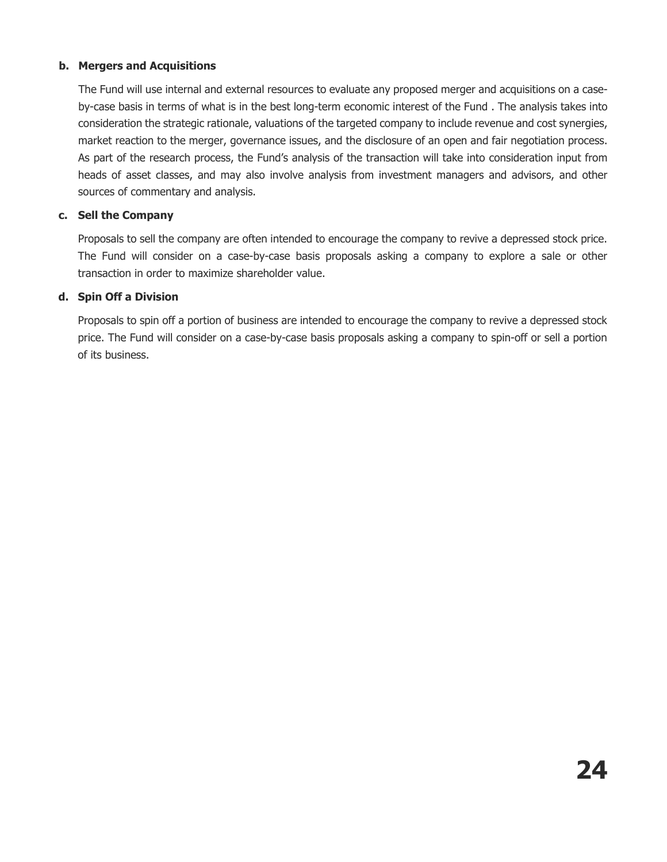### **b. Mergers and Acquisitions**

The Fund will use internal and external resources to evaluate any proposed merger and acquisitions on a caseby-case basis in terms of what is in the best long-term economic interest of the Fund . The analysis takes into consideration the strategic rationale, valuations of the targeted company to include revenue and cost synergies, market reaction to the merger, governance issues, and the disclosure of an open and fair negotiation process. As part of the research process, the Fund's analysis of the transaction will take into consideration input from heads of asset classes, and may also involve analysis from investment managers and advisors, and other sources of commentary and analysis.

### **c. Sell the Company**

Proposals to sell the company are often intended to encourage the company to revive a depressed stock price. The Fund will consider on a case-by-case basis proposals asking a company to explore a sale or other transaction in order to maximize shareholder value.

### **d. Spin Off a Division**

Proposals to spin off a portion of business are intended to encourage the company to revive a depressed stock price. The Fund will consider on a case-by-case basis proposals asking a company to spin-off or sell a portion of its business.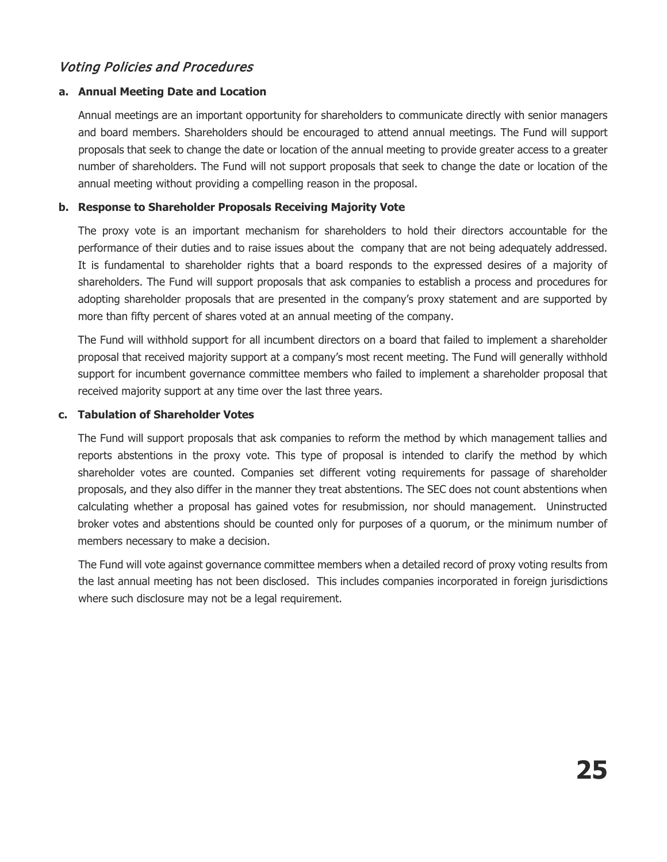## Voting Policies and Procedures

### **a. Annual Meeting Date and Location**

Annual meetings are an important opportunity for shareholders to communicate directly with senior managers and board members. Shareholders should be encouraged to attend annual meetings. The Fund will support proposals that seek to change the date or location of the annual meeting to provide greater access to a greater number of shareholders. The Fund will not support proposals that seek to change the date or location of the annual meeting without providing a compelling reason in the proposal.

### **b. Response to Shareholder Proposals Receiving Majority Vote**

The proxy vote is an important mechanism for shareholders to hold their directors accountable for the performance of their duties and to raise issues about the company that are not being adequately addressed. It is fundamental to shareholder rights that a board responds to the expressed desires of a majority of shareholders. The Fund will support proposals that ask companies to establish a process and procedures for adopting shareholder proposals that are presented in the company's proxy statement and are supported by more than fifty percent of shares voted at an annual meeting of the company.

The Fund will withhold support for all incumbent directors on a board that failed to implement a shareholder proposal that received majority support at a company's most recent meeting. The Fund will generally withhold support for incumbent governance committee members who failed to implement a shareholder proposal that received majority support at any time over the last three years.

### **c. Tabulation of Shareholder Votes**

The Fund will support proposals that ask companies to reform the method by which management tallies and reports abstentions in the proxy vote. This type of proposal is intended to clarify the method by which shareholder votes are counted. Companies set different voting requirements for passage of shareholder proposals, and they also differ in the manner they treat abstentions. The SEC does not count abstentions when calculating whether a proposal has gained votes for resubmission, nor should management. Uninstructed broker votes and abstentions should be counted only for purposes of a quorum, or the minimum number of members necessary to make a decision.

The Fund will vote against governance committee members when a detailed record of proxy voting results from the last annual meeting has not been disclosed. This includes companies incorporated in foreign jurisdictions where such disclosure may not be a legal requirement.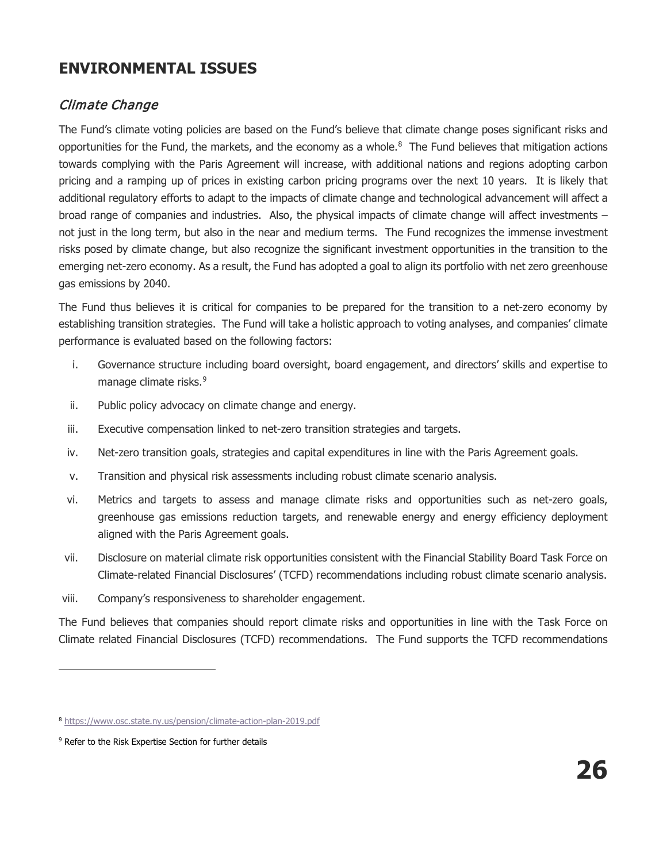# **ENVIRONMENTAL ISSUES**

# Climate Change

The Fund's climate voting policies are based on the Fund's believe that climate change poses significant risks and opportunities for the Fund, the markets, and the economy as a whole.<sup>[8](#page-25-0)</sup> The Fund believes that mitigation actions towards complying with the Paris Agreement will increase, with additional nations and regions adopting carbon pricing and a ramping up of prices in existing carbon pricing programs over the next 10 years. It is likely that additional regulatory efforts to adapt to the impacts of climate change and technological advancement will affect a broad range of companies and industries. Also, the physical impacts of climate change will affect investments – not just in the long term, but also in the near and medium terms. The Fund recognizes the immense investment risks posed by climate change, but also recognize the significant investment opportunities in the transition to the emerging net-zero economy. As a result, the Fund has adopted a goal to align its portfolio with net zero greenhouse gas emissions by 2040.

The Fund thus believes it is critical for companies to be prepared for the transition to a net-zero economy by establishing transition strategies. The Fund will take a holistic approach to voting analyses, and companies' climate performance is evaluated based on the following factors:

- i. Governance structure including board oversight, board engagement, and directors' skills and expertise to manage climate risks.<sup>[9](#page-25-1)</sup>
- ii. Public policy advocacy on climate change and energy.
- iii. Executive compensation linked to net-zero transition strategies and targets.
- iv. Net-zero transition goals, strategies and capital expenditures in line with the Paris Agreement goals.
- v. Transition and physical risk assessments including robust climate scenario analysis.
- vi. Metrics and targets to assess and manage climate risks and opportunities such as net-zero goals, greenhouse gas emissions reduction targets, and renewable energy and energy efficiency deployment aligned with the Paris Agreement goals.
- vii. Disclosure on material climate risk opportunities consistent with the Financial Stability Board Task Force on Climate-related Financial Disclosures' (TCFD) recommendations including robust climate scenario analysis.
- viii. Company's responsiveness to shareholder engagement.

The Fund believes that companies should report climate risks and opportunities in line with the Task Force on Climate related Financial Disclosures (TCFD) recommendations. The Fund supports the TCFD recommendations

<span id="page-25-0"></span><sup>8</sup> <https://www.osc.state.ny.us/pension/climate-action-plan-2019.pdf>

<span id="page-25-1"></span><sup>&</sup>lt;sup>9</sup> Refer to the Risk Expertise Section for further details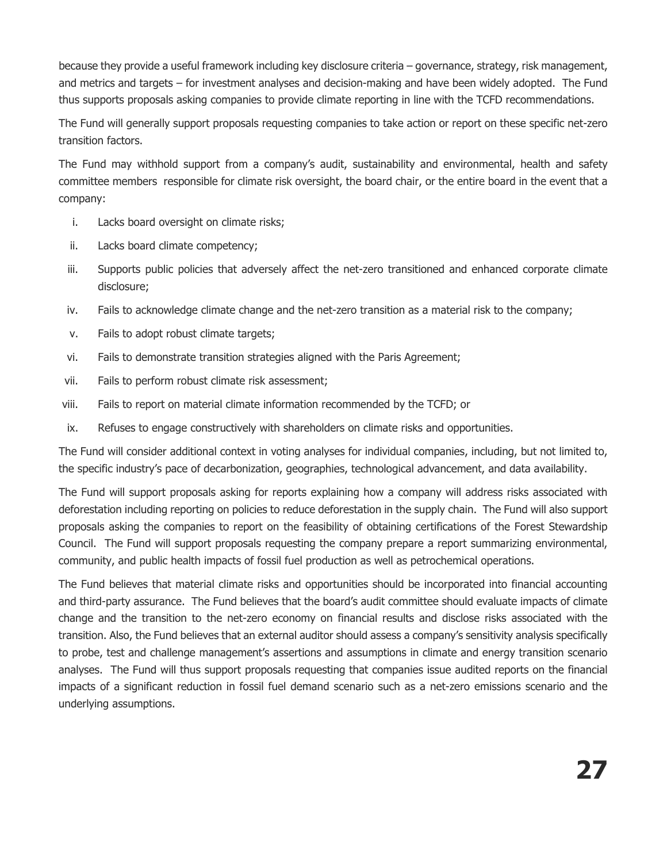because they provide a useful framework including key disclosure criteria – governance, strategy, risk management, and metrics and targets – for investment analyses and decision-making and have been widely adopted. The Fund thus supports proposals asking companies to provide climate reporting in line with the TCFD recommendations.

The Fund will generally support proposals requesting companies to take action or report on these specific net-zero transition factors.

The Fund may withhold support from a company's audit, sustainability and environmental, health and safety committee members responsible for climate risk oversight, the board chair, or the entire board in the event that a company:

- i. Lacks board oversight on climate risks;
- ii. Lacks board climate competency;
- iii. Supports public policies that adversely affect the net-zero transitioned and enhanced corporate climate disclosure;
- iv. Fails to acknowledge climate change and the net-zero transition as a material risk to the company;
- v. Fails to adopt robust climate targets;
- vi. Fails to demonstrate transition strategies aligned with the Paris Agreement;
- vii. Fails to perform robust climate risk assessment;
- viii. Fails to report on material climate information recommended by the TCFD; or
- ix. Refuses to engage constructively with shareholders on climate risks and opportunities.

The Fund will consider additional context in voting analyses for individual companies, including, but not limited to, the specific industry's pace of decarbonization, geographies, technological advancement, and data availability.

The Fund will support proposals asking for reports explaining how a company will address risks associated with deforestation including reporting on policies to reduce deforestation in the supply chain. The Fund will also support proposals asking the companies to report on the feasibility of obtaining certifications of the Forest Stewardship Council. The Fund will support proposals requesting the company prepare a report summarizing environmental, community, and public health impacts of fossil fuel production as well as petrochemical operations.

The Fund believes that material climate risks and opportunities should be incorporated into financial accounting and third-party assurance. The Fund believes that the board's audit committee should evaluate impacts of climate change and the transition to the net-zero economy on financial results and disclose risks associated with the transition. Also, the Fund believes that an external auditor should assess a company's sensitivity analysis specifically to probe, test and challenge management's assertions and assumptions in climate and energy transition scenario analyses. The Fund will thus support proposals requesting that companies issue audited reports on the financial impacts of a significant reduction in fossil fuel demand scenario such as a net-zero emissions scenario and the underlying assumptions.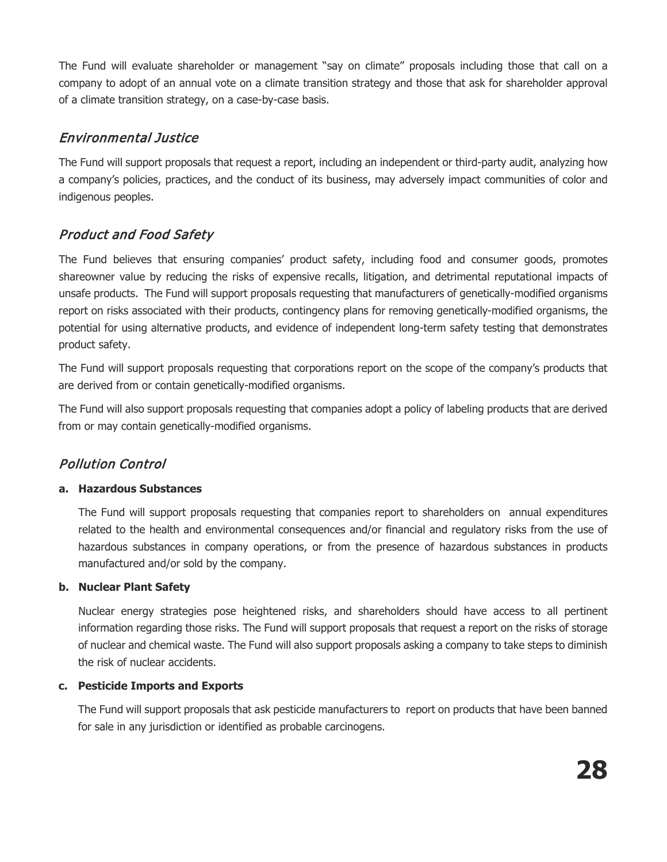The Fund will evaluate shareholder or management "say on climate" proposals including those that call on a company to adopt of an annual vote on a climate transition strategy and those that ask for shareholder approval of a climate transition strategy, on a case-by-case basis.

## Environmental Justice

The Fund will support proposals that request a report, including an independent or third-party audit, analyzing how a company's policies, practices, and the conduct of its business, may adversely impact communities of color and indigenous peoples.

# Product and Food Safety

The Fund believes that ensuring companies' product safety, including food and consumer goods, promotes shareowner value by reducing the risks of expensive recalls, litigation, and detrimental reputational impacts of unsafe products. The Fund will support proposals requesting that manufacturers of genetically-modified organisms report on risks associated with their products, contingency plans for removing genetically-modified organisms, the potential for using alternative products, and evidence of independent long-term safety testing that demonstrates product safety.

The Fund will support proposals requesting that corporations report on the scope of the company's products that are derived from or contain genetically-modified organisms.

The Fund will also support proposals requesting that companies adopt a policy of labeling products that are derived from or may contain genetically-modified organisms.

# Pollution Control

### **a. Hazardous Substances**

The Fund will support proposals requesting that companies report to shareholders on annual expenditures related to the health and environmental consequences and/or financial and regulatory risks from the use of hazardous substances in company operations, or from the presence of hazardous substances in products manufactured and/or sold by the company.

### **b. Nuclear Plant Safety**

Nuclear energy strategies pose heightened risks, and shareholders should have access to all pertinent information regarding those risks. The Fund will support proposals that request a report on the risks of storage of nuclear and chemical waste. The Fund will also support proposals asking a company to take steps to diminish the risk of nuclear accidents.

### **c. Pesticide Imports and Exports**

The Fund will support proposals that ask pesticide manufacturers to report on products that have been banned for sale in any jurisdiction or identified as probable carcinogens.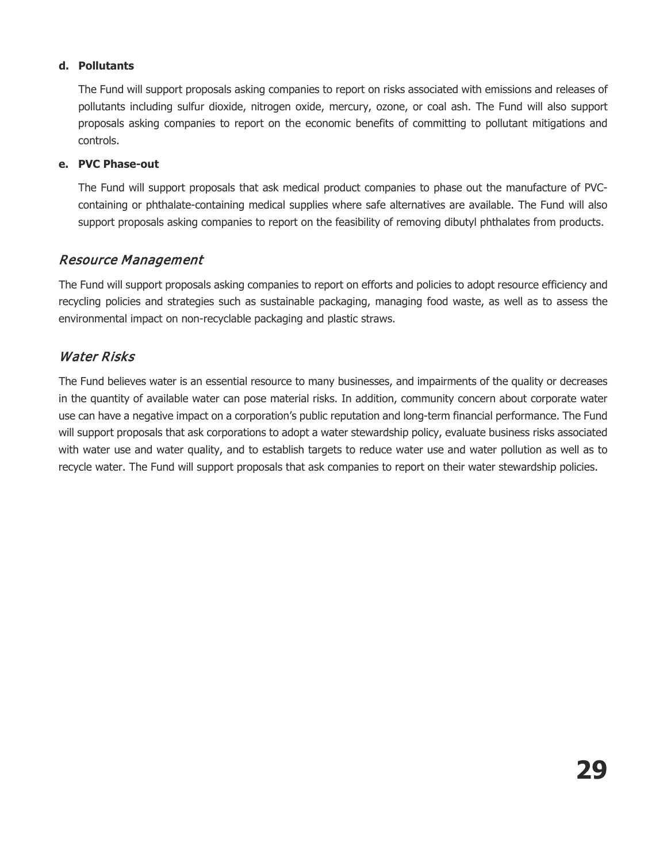### **d. Pollutants**

The Fund will support proposals asking companies to report on risks associated with emissions and releases of pollutants including sulfur dioxide, nitrogen oxide, mercury, ozone, or coal ash. The Fund will also support proposals asking companies to report on the economic benefits of committing to pollutant mitigations and controls.

#### **e. PVC Phase-out**

The Fund will support proposals that ask medical product companies to phase out the manufacture of PVCcontaining or phthalate-containing medical supplies where safe alternatives are available. The Fund will also support proposals asking companies to report on the feasibility of removing dibutyl phthalates from products.

### Resource Management

The Fund will support proposals asking companies to report on efforts and policies to adopt resource efficiency and recycling policies and strategies such as sustainable packaging, managing food waste, as well as to assess the environmental impact on non-recyclable packaging and plastic straws.

### Water Risks

The Fund believes water is an essential resource to many businesses, and impairments of the quality or decreases in the quantity of available water can pose material risks. In addition, community concern about corporate water use can have a negative impact on a corporation's public reputation and long-term financial performance. The Fund will support proposals that ask corporations to adopt a water stewardship policy, evaluate business risks associated with water use and water quality, and to establish targets to reduce water use and water pollution as well as to recycle water. The Fund will support proposals that ask companies to report on their water stewardship policies.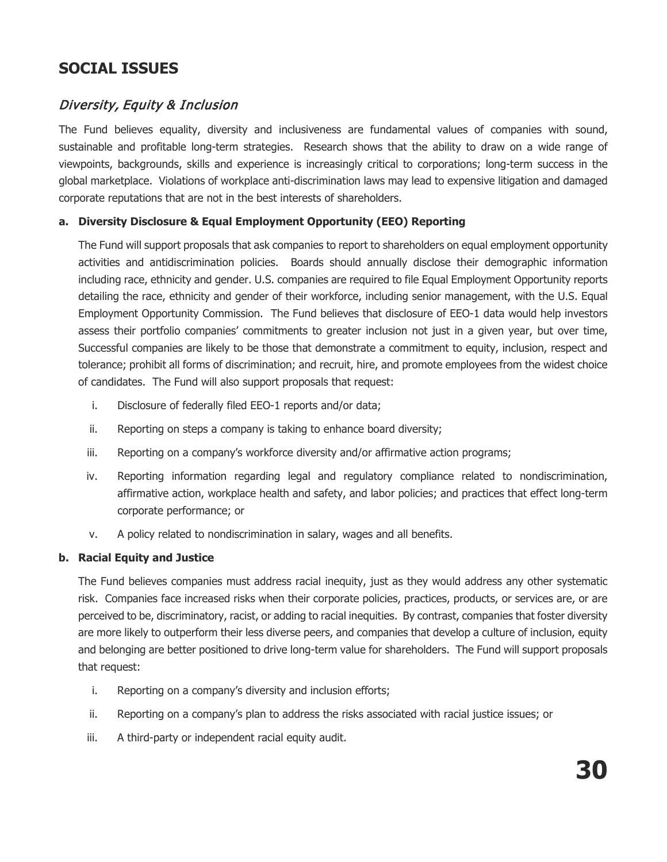# **SOCIAL ISSUES**

### Diversity, Equity & Inclusion

The Fund believes equality, diversity and inclusiveness are fundamental values of companies with sound, sustainable and profitable long-term strategies. Research shows that the ability to draw on a wide range of viewpoints, backgrounds, skills and experience is increasingly critical to corporations; long-term success in the global marketplace. Violations of workplace anti-discrimination laws may lead to expensive litigation and damaged corporate reputations that are not in the best interests of shareholders.

### **a. Diversity Disclosure & Equal Employment Opportunity (EEO) Reporting**

The Fund will support proposals that ask companies to report to shareholders on equal employment opportunity activities and antidiscrimination policies. Boards should annually disclose their demographic information including race, ethnicity and gender. U.S. companies are required to file Equal Employment Opportunity reports detailing the race, ethnicity and gender of their workforce, including senior management, with the U.S. Equal Employment Opportunity Commission. The Fund believes that disclosure of EEO-1 data would help investors assess their portfolio companies' commitments to greater inclusion not just in a given year, but over time, Successful companies are likely to be those that demonstrate a commitment to equity, inclusion, respect and tolerance; prohibit all forms of discrimination; and recruit, hire, and promote employees from the widest choice of candidates. The Fund will also support proposals that request:

- i. Disclosure of federally filed EEO-1 reports and/or data;
- ii. Reporting on steps a company is taking to enhance board diversity;
- iii. Reporting on a company's workforce diversity and/or affirmative action programs;
- iv. Reporting information regarding legal and regulatory compliance related to nondiscrimination, affirmative action, workplace health and safety, and labor policies; and practices that effect long-term corporate performance; or
- v. A policy related to nondiscrimination in salary, wages and all benefits.

#### **b. Racial Equity and Justice**

The Fund believes companies must address racial inequity, just as they would address any other systematic risk. Companies face increased risks when their corporate policies, practices, products, or services are, or are perceived to be, discriminatory, racist, or adding to racial inequities. By contrast, companies that foster diversity are more likely to outperform their less diverse peers, and companies that develop a culture of inclusion, equity and belonging are better positioned to drive long-term value for shareholders. The Fund will support proposals that request:

- i. Reporting on a company's diversity and inclusion efforts;
- ii. Reporting on a company's plan to address the risks associated with racial justice issues; or
- iii. A third-party or independent racial equity audit.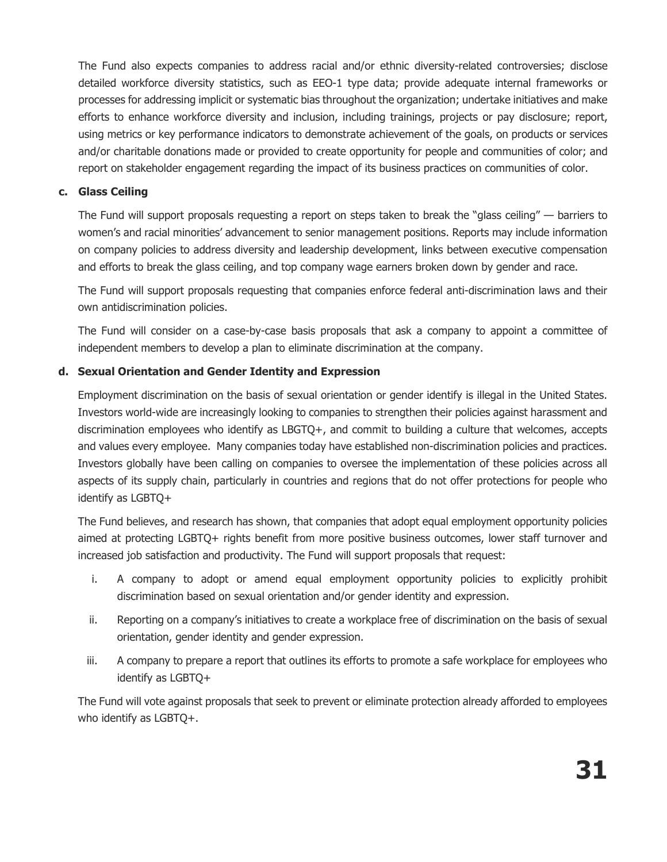The Fund also expects companies to address racial and/or ethnic diversity-related controversies; disclose detailed workforce diversity statistics, such as EEO-1 type data; provide adequate internal frameworks or processes for addressing implicit or systematic bias throughout the organization; undertake initiatives and make efforts to enhance workforce diversity and inclusion, including trainings, projects or pay disclosure; report, using metrics or key performance indicators to demonstrate achievement of the goals, on products or services and/or charitable donations made or provided to create opportunity for people and communities of color; and report on stakeholder engagement regarding the impact of its business practices on communities of color.

### **c. Glass Ceiling**

The Fund will support proposals requesting a report on steps taken to break the "glass ceiling" — barriers to women's and racial minorities' advancement to senior management positions. Reports may include information on company policies to address diversity and leadership development, links between executive compensation and efforts to break the glass ceiling, and top company wage earners broken down by gender and race.

The Fund will support proposals requesting that companies enforce federal anti-discrimination laws and their own antidiscrimination policies.

The Fund will consider on a case-by-case basis proposals that ask a company to appoint a committee of independent members to develop a plan to eliminate discrimination at the company.

### **d. Sexual Orientation and Gender Identity and Expression**

Employment discrimination on the basis of sexual orientation or gender identify is illegal in the United States. Investors world-wide are increasingly looking to companies to strengthen their policies against harassment and discrimination employees who identify as LBGTQ+, and commit to building a culture that welcomes, accepts and values every employee. Many companies today have established non-discrimination policies and practices. Investors globally have been calling on companies to oversee the implementation of these policies across all aspects of its supply chain, particularly in countries and regions that do not offer protections for people who identify as LGBTQ+

The Fund believes, and research has shown, that companies that adopt equal employment opportunity policies aimed at protecting LGBTQ+ rights benefit from more positive business outcomes, lower staff turnover and increased job satisfaction and productivity. The Fund will support proposals that request:

- i. A company to adopt or amend equal employment opportunity policies to explicitly prohibit discrimination based on sexual orientation and/or gender identity and expression.
- ii. Reporting on a company's initiatives to create a workplace free of discrimination on the basis of sexual orientation, gender identity and gender expression.
- iii. A company to prepare a report that outlines its efforts to promote a safe workplace for employees who identify as LGBTQ+

The Fund will vote against proposals that seek to prevent or eliminate protection already afforded to employees who identify as LGBTQ+.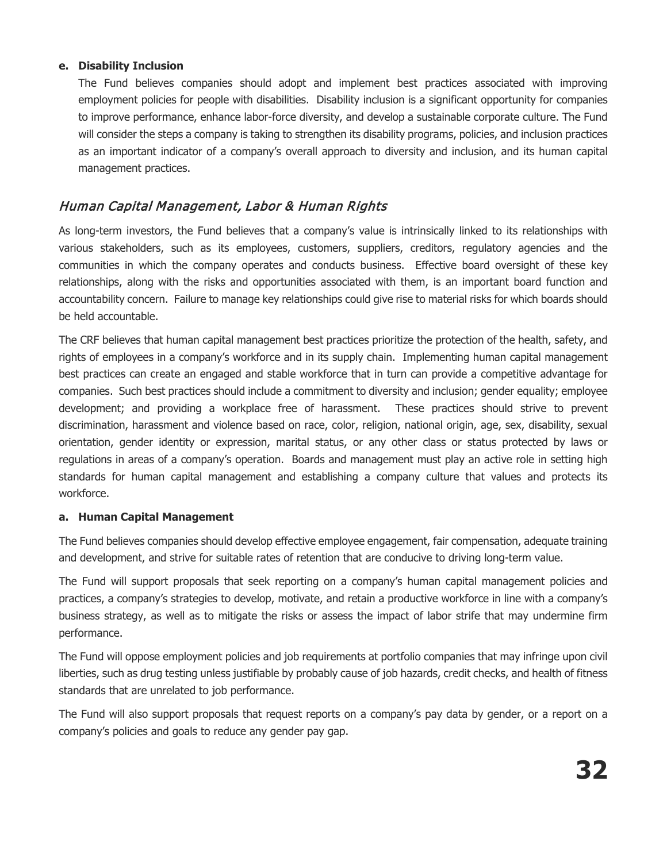### **e. Disability Inclusion**

The Fund believes companies should adopt and implement best practices associated with improving employment policies for people with disabilities. Disability inclusion is a significant opportunity for companies to improve performance, enhance labor-force diversity, and develop a sustainable corporate culture. The Fund will consider the steps a company is taking to strengthen its disability programs, policies, and inclusion practices as an important indicator of a company's overall approach to diversity and inclusion, and its human capital management practices.

### Human Capital Management, Labor & Human Rights

As long-term investors, the Fund believes that a company's value is intrinsically linked to its relationships with various stakeholders, such as its employees, customers, suppliers, creditors, regulatory agencies and the communities in which the company operates and conducts business. Effective board oversight of these key relationships, along with the risks and opportunities associated with them, is an important board function and accountability concern. Failure to manage key relationships could give rise to material risks for which boards should be held accountable.

The CRF believes that human capital management best practices prioritize the protection of the health, safety, and rights of employees in a company's workforce and in its supply chain. Implementing human capital management best practices can create an engaged and stable workforce that in turn can provide a competitive advantage for companies. Such best practices should include a commitment to diversity and inclusion; gender equality; employee development; and providing a workplace free of harassment. These practices should strive to prevent discrimination, harassment and violence based on race, color, religion, national origin, age, sex, disability, sexual orientation, gender identity or expression, marital status, or any other class or status protected by laws or regulations in areas of a company's operation. Boards and management must play an active role in setting high standards for human capital management and establishing a company culture that values and protects its workforce.

### **a. Human Capital Management**

The Fund believes companies should develop effective employee engagement, fair compensation, adequate training and development, and strive for suitable rates of retention that are conducive to driving long-term value.

The Fund will support proposals that seek reporting on a company's human capital management policies and practices, a company's strategies to develop, motivate, and retain a productive workforce in line with a company's business strategy, as well as to mitigate the risks or assess the impact of labor strife that may undermine firm performance.

The Fund will oppose employment policies and job requirements at portfolio companies that may infringe upon civil liberties, such as drug testing unless justifiable by probably cause of job hazards, credit checks, and health of fitness standards that are unrelated to job performance.

The Fund will also support proposals that request reports on a company's pay data by gender, or a report on a company's policies and goals to reduce any gender pay gap.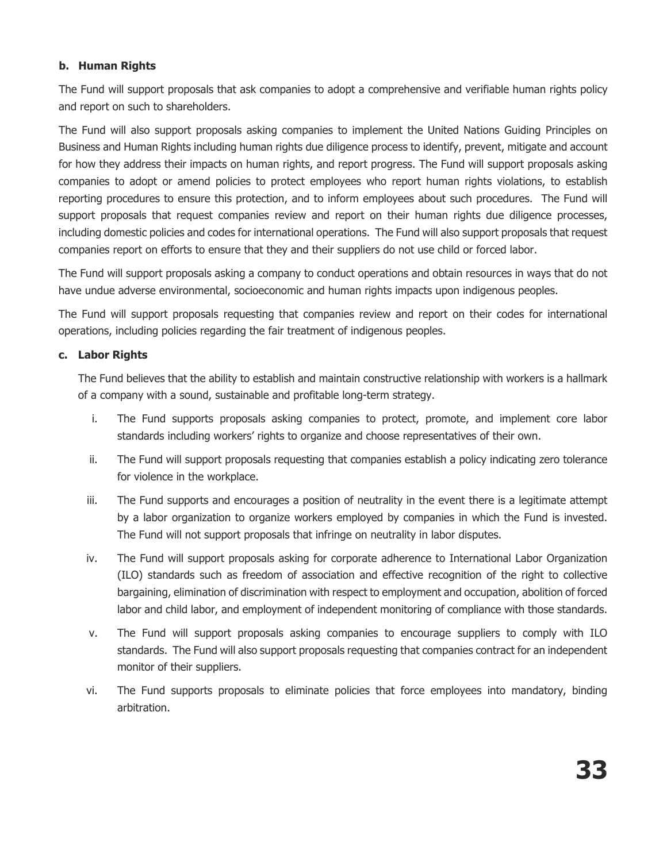### **b. Human Rights**

The Fund will support proposals that ask companies to adopt a comprehensive and verifiable human rights policy and report on such to shareholders.

The Fund will also support proposals asking companies to implement the United Nations Guiding Principles on Business and Human Rights including human rights due diligence process to identify, prevent, mitigate and account for how they address their impacts on human rights, and report progress. The Fund will support proposals asking companies to adopt or amend policies to protect employees who report human rights violations, to establish reporting procedures to ensure this protection, and to inform employees about such procedures. The Fund will support proposals that request companies review and report on their human rights due diligence processes, including domestic policies and codes for international operations. The Fund will also support proposals that request companies report on efforts to ensure that they and their suppliers do not use child or forced labor.

The Fund will support proposals asking a company to conduct operations and obtain resources in ways that do not have undue adverse environmental, socioeconomic and human rights impacts upon indigenous peoples.

The Fund will support proposals requesting that companies review and report on their codes for international operations, including policies regarding the fair treatment of indigenous peoples.

### **c. Labor Rights**

The Fund believes that the ability to establish and maintain constructive relationship with workers is a hallmark of a company with a sound, sustainable and profitable long-term strategy.

- i. The Fund supports proposals asking companies to protect, promote, and implement core labor standards including workers' rights to organize and choose representatives of their own.
- ii. The Fund will support proposals requesting that companies establish a policy indicating zero tolerance for violence in the workplace.
- iii. The Fund supports and encourages a position of neutrality in the event there is a legitimate attempt by a labor organization to organize workers employed by companies in which the Fund is invested. The Fund will not support proposals that infringe on neutrality in labor disputes.
- iv. The Fund will support proposals asking for corporate adherence to International Labor Organization (ILO) standards such as freedom of association and effective recognition of the right to collective bargaining, elimination of discrimination with respect to employment and occupation, abolition of forced labor and child labor, and employment of independent monitoring of compliance with those standards.
- v. The Fund will support proposals asking companies to encourage suppliers to comply with ILO standards. The Fund will also support proposals requesting that companies contract for an independent monitor of their suppliers.
- vi. The Fund supports proposals to eliminate policies that force employees into mandatory, binding arbitration.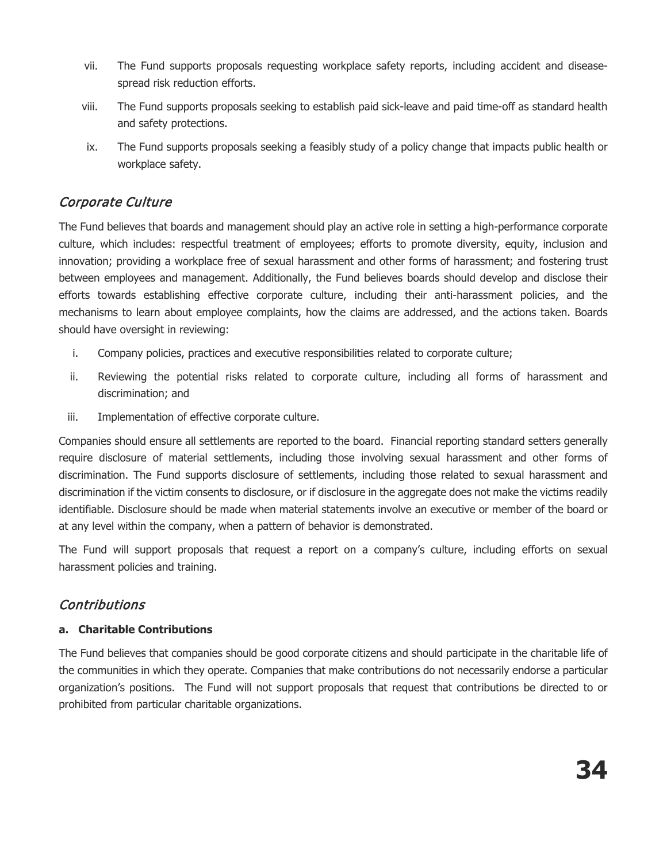- vii. The Fund supports proposals requesting workplace safety reports, including accident and diseasespread risk reduction efforts.
- viii. The Fund supports proposals seeking to establish paid sick-leave and paid time-off as standard health and safety protections.
- ix. The Fund supports proposals seeking a feasibly study of a policy change that impacts public health or workplace safety.

## Corporate Culture

The Fund believes that boards and management should play an active role in setting a high-performance corporate culture, which includes: respectful treatment of employees; efforts to promote diversity, equity, inclusion and innovation; providing a workplace free of sexual harassment and other forms of harassment; and fostering trust between employees and management. Additionally, the Fund believes boards should develop and disclose their efforts towards establishing effective corporate culture, including their anti-harassment policies, and the mechanisms to learn about employee complaints, how the claims are addressed, and the actions taken. Boards should have oversight in reviewing:

- i. Company policies, practices and executive responsibilities related to corporate culture;
- ii. Reviewing the potential risks related to corporate culture, including all forms of harassment and discrimination; and
- iii. Implementation of effective corporate culture.

Companies should ensure all settlements are reported to the board. Financial reporting standard setters generally require disclosure of material settlements, including those involving sexual harassment and other forms of discrimination. The Fund supports disclosure of settlements, including those related to sexual harassment and discrimination if the victim consents to disclosure, or if disclosure in the aggregate does not make the victims readily identifiable. Disclosure should be made when material statements involve an executive or member of the board or at any level within the company, when a pattern of behavior is demonstrated.

The Fund will support proposals that request a report on a company's culture, including efforts on sexual harassment policies and training.

# **Contributions**

### **a. Charitable Contributions**

The Fund believes that companies should be good corporate citizens and should participate in the charitable life of the communities in which they operate. Companies that make contributions do not necessarily endorse a particular organization's positions. The Fund will not support proposals that request that contributions be directed to or prohibited from particular charitable organizations.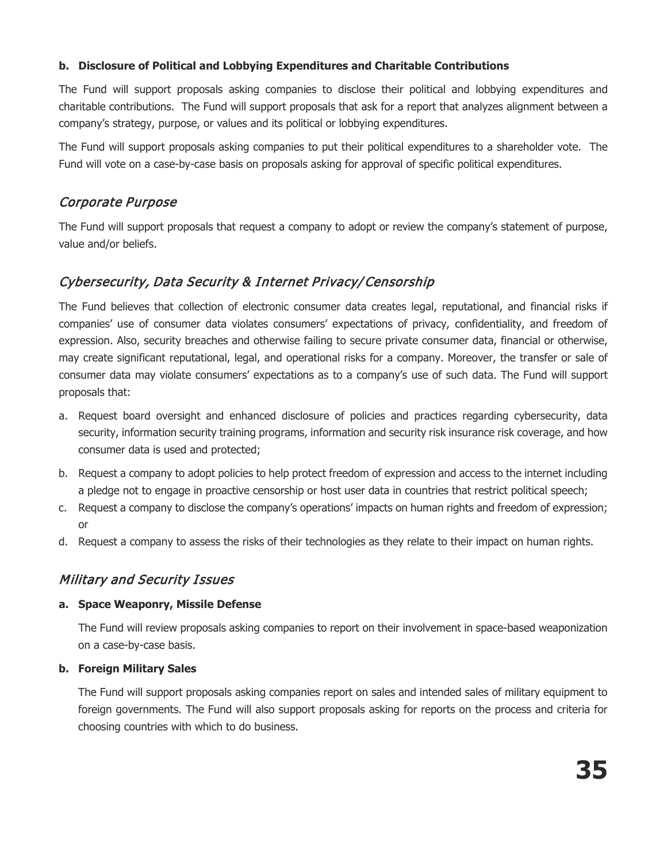### **b. Disclosure of Political and Lobbying Expenditures and Charitable Contributions**

The Fund will support proposals asking companies to disclose their political and lobbying expenditures and charitable contributions. The Fund will support proposals that ask for a report that analyzes alignment between a company's strategy, purpose, or values and its political or lobbying expenditures.

The Fund will support proposals asking companies to put their political expenditures to a shareholder vote. The Fund will vote on a case-by-case basis on proposals asking for approval of specific political expenditures.

## Corporate Purpose

The Fund will support proposals that request a company to adopt or review the company's statement of purpose, value and/or beliefs.

# Cybersecurity, Data Security & Internet Privacy/ Censorship

The Fund believes that collection of electronic consumer data creates legal, reputational, and financial risks if companies' use of consumer data violates consumers' expectations of privacy, confidentiality, and freedom of expression. Also, security breaches and otherwise failing to secure private consumer data, financial or otherwise, may create significant reputational, legal, and operational risks for a company. Moreover, the transfer or sale of consumer data may violate consumers' expectations as to a company's use of such data. The Fund will support proposals that:

- a. Request board oversight and enhanced disclosure of policies and practices regarding cybersecurity, data security, information security training programs, information and security risk insurance risk coverage, and how consumer data is used and protected;
- b. Request a company to adopt policies to help protect freedom of expression and access to the internet including a pledge not to engage in proactive censorship or host user data in countries that restrict political speech;
- c. Request a company to disclose the company's operations' impacts on human rights and freedom of expression; or
- d. Request a company to assess the risks of their technologies as they relate to their impact on human rights.

# Military and Security Issues

### **a. Space Weaponry, Missile Defense**

The Fund will review proposals asking companies to report on their involvement in space-based weaponization on a case-by-case basis.

### **b. Foreign Military Sales**

The Fund will support proposals asking companies report on sales and intended sales of military equipment to foreign governments. The Fund will also support proposals asking for reports on the process and criteria for choosing countries with which to do business.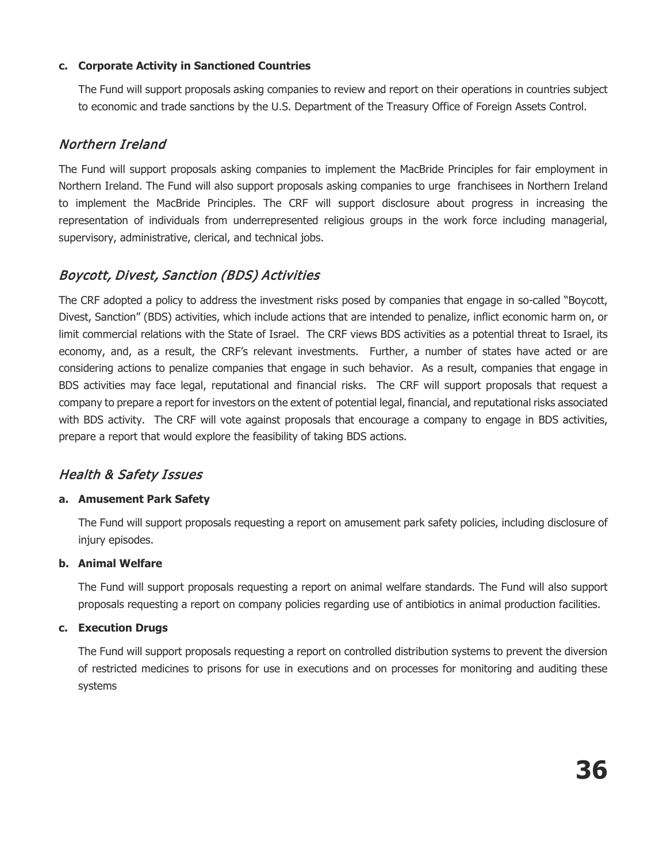### **c. Corporate Activity in Sanctioned Countries**

The Fund will support proposals asking companies to review and report on their operations in countries subject to economic and trade sanctions by the U.S. Department of the Treasury Office of Foreign Assets Control.

### Northern Ireland

The Fund will support proposals asking companies to implement the MacBride Principles for fair employment in Northern Ireland. The Fund will also support proposals asking companies to urge franchisees in Northern Ireland to implement the MacBride Principles. The CRF will support disclosure about progress in increasing the representation of individuals from underrepresented religious groups in the work force including managerial, supervisory, administrative, clerical, and technical jobs.

# Boycott, Divest, Sanction (BDS) Activities

The CRF adopted a policy to address the investment risks posed by companies that engage in so-called "Boycott, Divest, Sanction" (BDS) activities, which include actions that are intended to penalize, inflict economic harm on, or limit commercial relations with the State of Israel. The CRF views BDS activities as a potential threat to Israel, its economy, and, as a result, the CRF's relevant investments. Further, a number of states have acted or are considering actions to penalize companies that engage in such behavior. As a result, companies that engage in BDS activities may face legal, reputational and financial risks. The CRF will support proposals that request a company to prepare a report for investors on the extent of potential legal, financial, and reputational risks associated with BDS activity. The CRF will vote against proposals that encourage a company to engage in BDS activities, prepare a report that would explore the feasibility of taking BDS actions.

# Health & Safety Issues

### **a. Amusement Park Safety**

The Fund will support proposals requesting a report on amusement park safety policies, including disclosure of injury episodes.

### **b. Animal Welfare**

The Fund will support proposals requesting a report on animal welfare standards. The Fund will also support proposals requesting a report on company policies regarding use of antibiotics in animal production facilities.

### **c. Execution Drugs**

The Fund will support proposals requesting a report on controlled distribution systems to prevent the diversion of restricted medicines to prisons for use in executions and on processes for monitoring and auditing these systems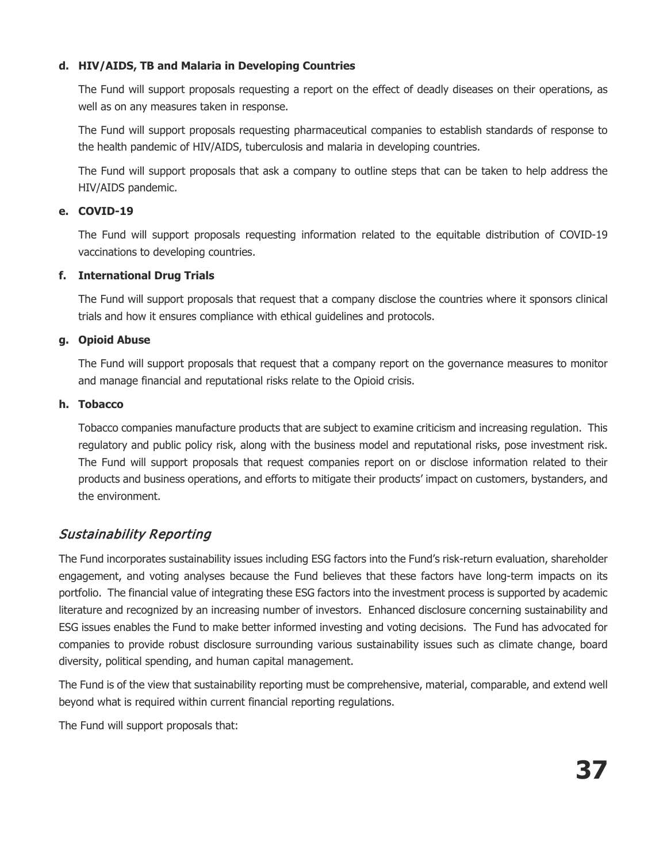### **d. HIV/AIDS, TB and Malaria in Developing Countries**

The Fund will support proposals requesting a report on the effect of deadly diseases on their operations, as well as on any measures taken in response.

The Fund will support proposals requesting pharmaceutical companies to establish standards of response to the health pandemic of HIV/AIDS, tuberculosis and malaria in developing countries.

The Fund will support proposals that ask a company to outline steps that can be taken to help address the HIV/AIDS pandemic.

### **e. COVID-19**

The Fund will support proposals requesting information related to the equitable distribution of COVID-19 vaccinations to developing countries.

### **f. International Drug Trials**

The Fund will support proposals that request that a company disclose the countries where it sponsors clinical trials and how it ensures compliance with ethical guidelines and protocols.

### **g. Opioid Abuse**

The Fund will support proposals that request that a company report on the governance measures to monitor and manage financial and reputational risks relate to the Opioid crisis.

### **h. Tobacco**

Tobacco companies manufacture products that are subject to examine criticism and increasing regulation. This regulatory and public policy risk, along with the business model and reputational risks, pose investment risk. The Fund will support proposals that request companies report on or disclose information related to their products and business operations, and efforts to mitigate their products' impact on customers, bystanders, and the environment.

### Sustainability Reporting

The Fund incorporates sustainability issues including ESG factors into the Fund's risk-return evaluation, shareholder engagement, and voting analyses because the Fund believes that these factors have long-term impacts on its portfolio. The financial value of integrating these ESG factors into the investment process is supported by academic literature and recognized by an increasing number of investors. Enhanced disclosure concerning sustainability and ESG issues enables the Fund to make better informed investing and voting decisions. The Fund has advocated for companies to provide robust disclosure surrounding various sustainability issues such as climate change, board diversity, political spending, and human capital management.

The Fund is of the view that sustainability reporting must be comprehensive, material, comparable, and extend well beyond what is required within current financial reporting regulations.

The Fund will support proposals that: